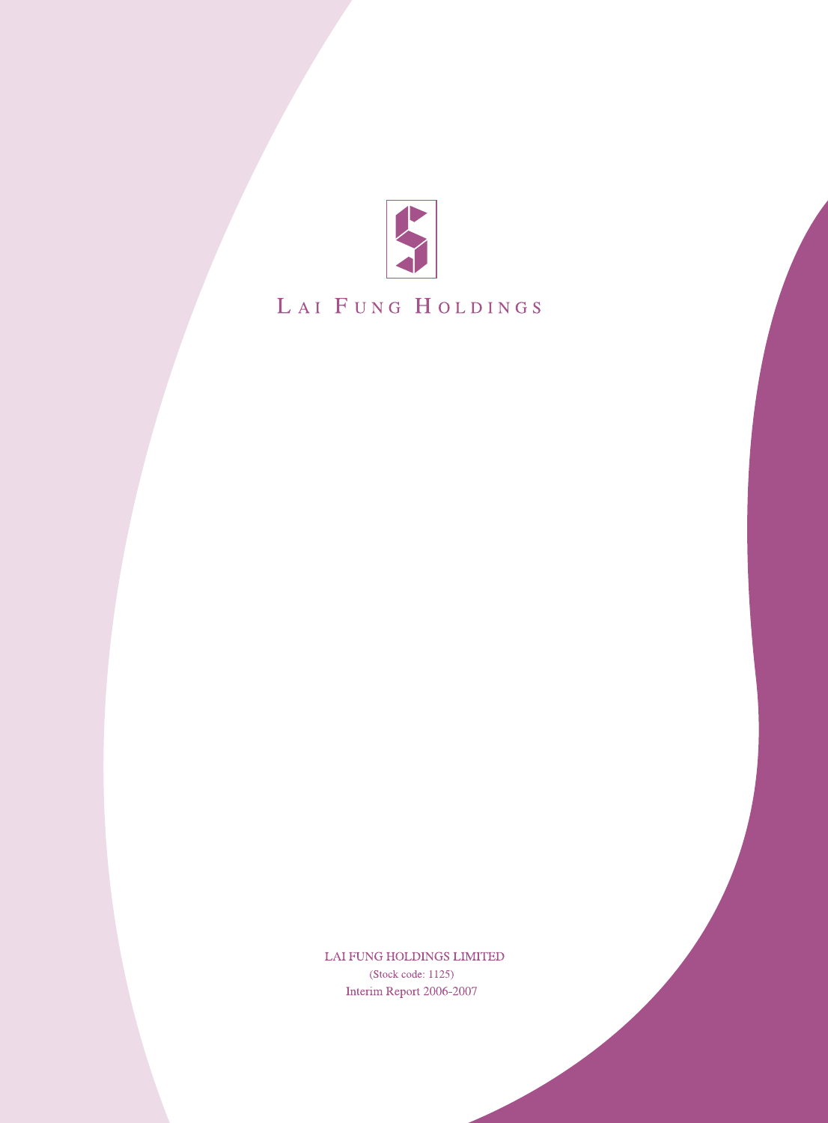

# LAI FUNG HOLDINGS

LAI FUNG HOLDINGS LIMITED (Stock code: 1125) Interim Report 2006-2007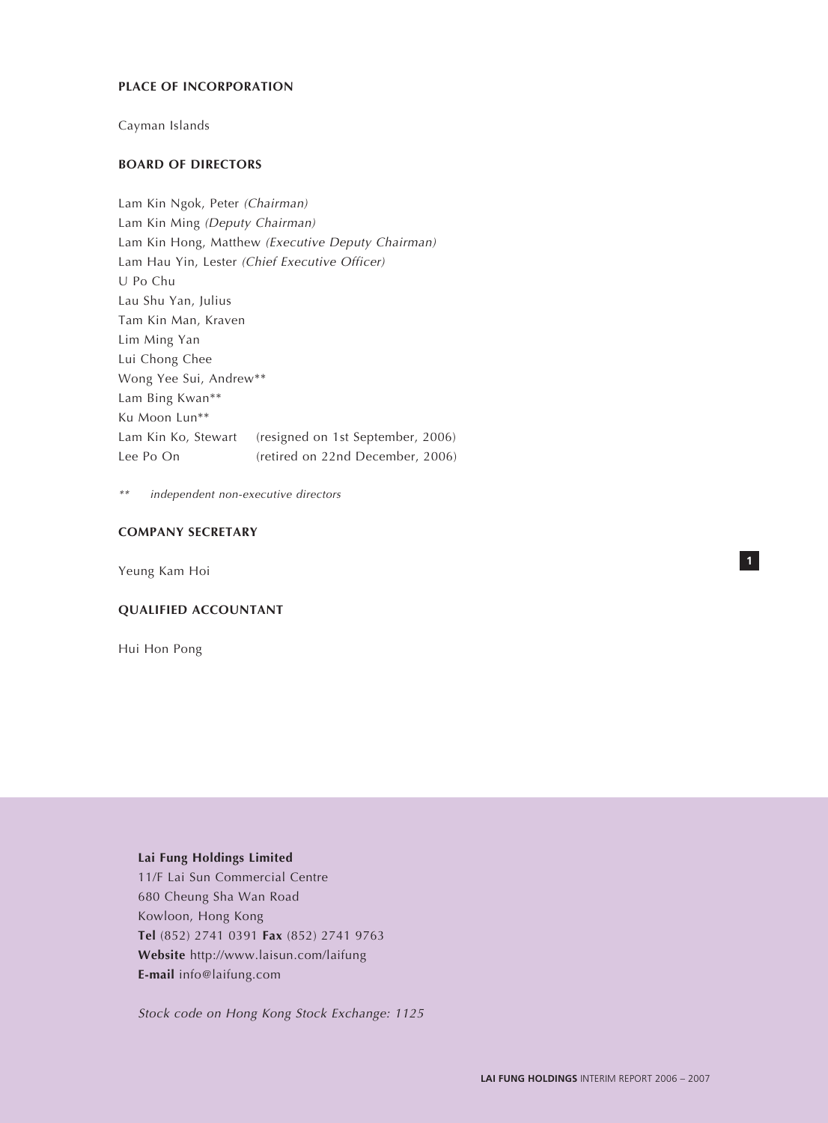## **PLACE OF INCORPORATION**

Cayman Islands

## **BOARD OF DIRECTORS**

Lam Kin Ngok, Peter (Chairman) Lam Kin Ming (Deputy Chairman) Lam Kin Hong, Matthew (Executive Deputy Chairman) Lam Hau Yin, Lester (Chief Executive Officer) U Po Chu Lau Shu Yan, Julius Tam Kin Man, Kraven Lim Ming Yan Lui Chong Chee Wong Yee Sui, Andrew\*\* Lam Bing Kwan\*\* Ku Moon Lun\*\* Lam Kin Ko, Stewart (resigned on 1st September, 2006) Lee Po On (retired on 22nd December, 2006)

\*\*independent non-executive directors

## **COMPANY SECRETARY**

Yeung Kam Hoi

## **QUALIFIED ACCOUNTANT**

Hui Hon Pong

# **Lai Fung Holdings Limited**

11/F Lai Sun Commercial Centre 680 Cheung Sha Wan Road Kowloon, Hong Kong **Tel** (852) 2741 0391 **Fax** (852) 2741 9763 **Website** http://www.laisun.com/laifung **E-mail** info@laifung.com

Stock code on Hong Kong Stock Exchange: 1125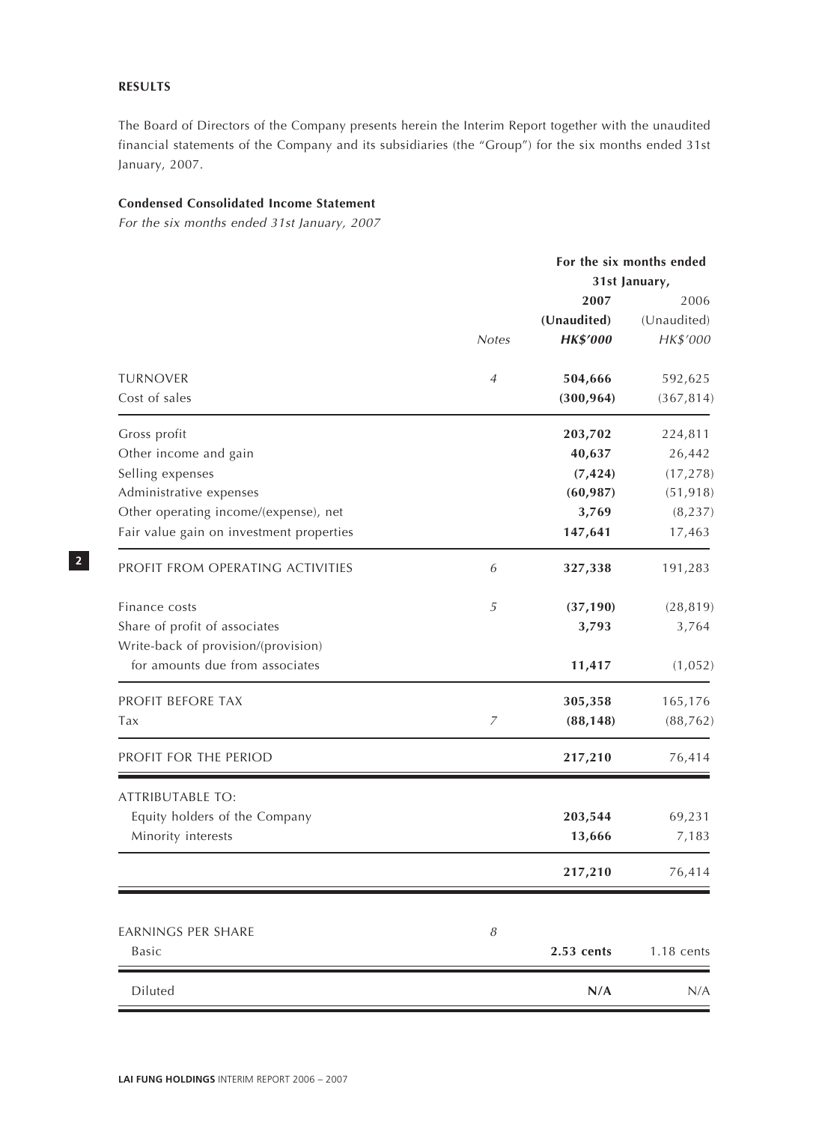## **RESULTS**

The Board of Directors of the Company presents herein the Interim Report together with the unaudited financial statements of the Company and its subsidiaries (the "Group") for the six months ended 31st January, 2007.

## **Condensed Consolidated Income Statement**

For the six months ended 31st January, 2007

|                                          |                            |                 | For the six months ended |  |
|------------------------------------------|----------------------------|-----------------|--------------------------|--|
|                                          |                            |                 | 31st January,            |  |
|                                          |                            | 2007            | 2006<br>(Unaudited)      |  |
|                                          |                            | (Unaudited)     |                          |  |
|                                          | <b>Notes</b>               | <b>HK\$'000</b> | HK\$'000                 |  |
| <b>TURNOVER</b>                          | 4                          | 504,666         | 592,625                  |  |
| Cost of sales                            |                            | (300, 964)      | (367, 814)               |  |
| Gross profit                             |                            | 203,702         | 224,811                  |  |
| Other income and gain                    |                            | 40,637          | 26,442                   |  |
| Selling expenses                         |                            | (7, 424)        | (17, 278)                |  |
| Administrative expenses                  |                            | (60, 987)       | (51, 918)                |  |
| Other operating income/(expense), net    |                            | 3,769           | (8, 237)                 |  |
| Fair value gain on investment properties |                            | 147,641         | 17,463                   |  |
| PROFIT FROM OPERATING ACTIVITIES         | 6                          | 327,338         | 191,283                  |  |
| Finance costs                            | $\sqrt{5}$                 | (37, 190)       | (28, 819)                |  |
| Share of profit of associates            |                            | 3,793           | 3,764                    |  |
| Write-back of provision/(provision)      |                            |                 |                          |  |
| for amounts due from associates          |                            | 11,417          | (1,052)                  |  |
| PROFIT BEFORE TAX                        |                            | 305,358         | 165,176                  |  |
| Tax                                      | 7                          | (88, 148)       | (88, 762)                |  |
| PROFIT FOR THE PERIOD                    |                            | 217,210         | 76,414                   |  |
| <b>ATTRIBUTABLE TO:</b>                  |                            |                 |                          |  |
| Equity holders of the Company            |                            | 203,544         | 69,231                   |  |
| Minority interests                       |                            | 13,666          | 7,183                    |  |
|                                          |                            | 217,210         | 76,414                   |  |
|                                          |                            |                 |                          |  |
| <b>EARNINGS PER SHARE</b><br>Basic       | $\boldsymbol{\mathcal{S}}$ | 2.53 cents      | $1.18$ cents             |  |
| Diluted                                  |                            | N/A             | N/A                      |  |
|                                          |                            |                 |                          |  |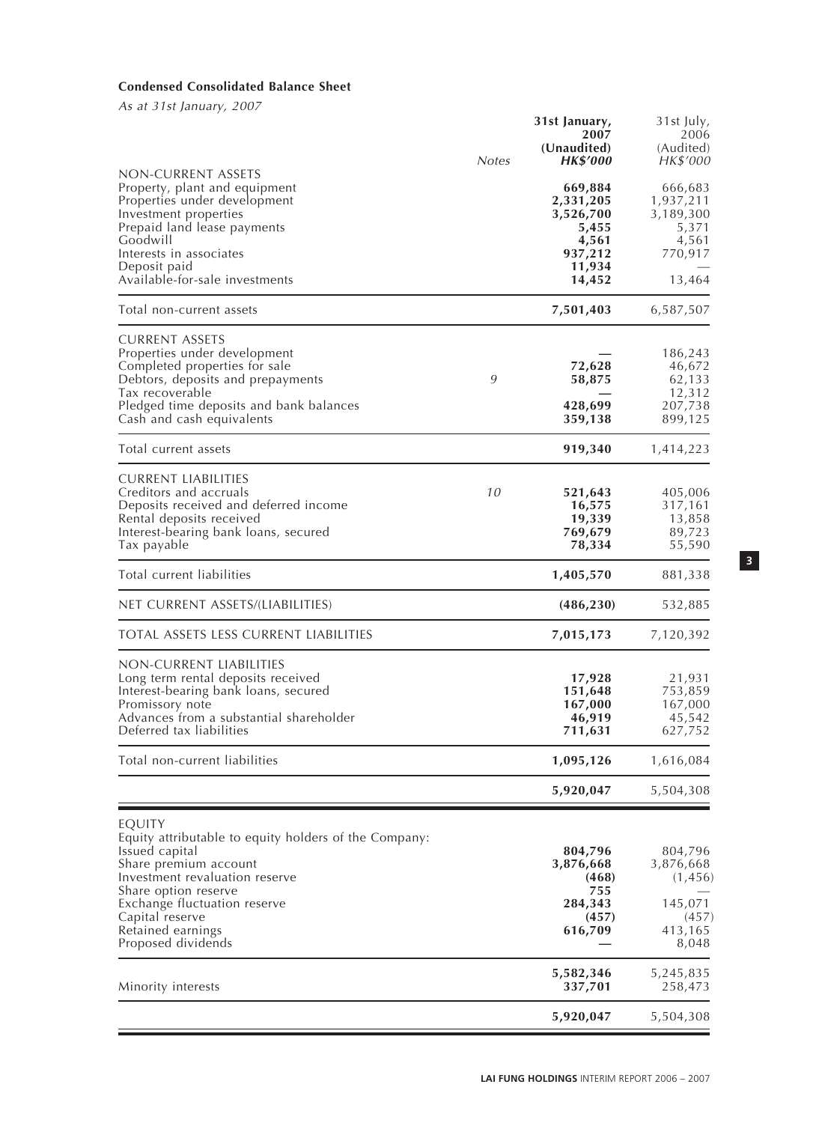# **Condensed Consolidated Balance Sheet**

As at 31st January, 2007

|                                                                                                                                                                                                                                                                    | <b>Notes</b> | 31st January,<br>2007<br>(Unaudited)<br>HK\$′000                                   | 31st July,<br>2006<br>(Audited)<br>HK\$'000                              |
|--------------------------------------------------------------------------------------------------------------------------------------------------------------------------------------------------------------------------------------------------------------------|--------------|------------------------------------------------------------------------------------|--------------------------------------------------------------------------|
| non-current assets<br>Property, plant and equipment<br>Properties under development<br>Investment properties<br>Prepaid land lease payments<br>Goodwill<br>Interests in associates<br>Deposit paid<br>Available-for-sale investments                               |              | 669,884<br>2,331,205<br>3,526,700<br>5,455<br>4,561<br>937,212<br>11,934<br>14,452 | 666,683<br>1,937,211<br>3,189,300<br>5,371<br>4,561<br>770,917<br>13,464 |
| Total non-current assets                                                                                                                                                                                                                                           |              | 7,501,403                                                                          | 6,587,507                                                                |
| <b>CURRENT ASSETS</b><br>Properties under development<br>Completed properties for sale<br>Debtors, deposits and prepayments<br>Tax recoverable<br>Pledged time deposits and bank balances<br>Cash and cash equivalents                                             | 9            | 72,628<br>58,875<br>428,699<br>359,138                                             | 186,243<br>46,672<br>62,133<br>12,312<br>207,738<br>899,125              |
| Total current assets                                                                                                                                                                                                                                               |              | 919,340                                                                            | 1,414,223                                                                |
| CURRENT LIABILITIES<br>Creditors and accruals<br>Deposits received and deferred income<br>Rental deposits received<br>Interest-bearing bank loans, secured<br>Tax payable                                                                                          | 10           | 521,643<br>16,575<br>19,339<br>769,679<br>78,334                                   | 405,006<br>317,161<br>13,858<br>89,723<br>55,590                         |
| Total current liabilities                                                                                                                                                                                                                                          |              | 1,405,570                                                                          | 881,338                                                                  |
| NET CURRENT ASSETS/(LIABILITIES)                                                                                                                                                                                                                                   |              | (486, 230)                                                                         | 532,885                                                                  |
| TOTAL ASSETS LESS CURRENT LIABILITIES                                                                                                                                                                                                                              |              | 7,015,173                                                                          | 7,120,392                                                                |
| NON-CURRENT LIABILITIES<br>Long term rental deposits received<br>Interest-bearing bank loans, secured<br>Promissory note<br>Advances from a substantial shareholder<br>Deferred tax liabilities                                                                    |              | 17,928<br>151,648<br>167,000<br>46,919<br>711,631                                  | 21,931<br>753,859<br>167,000<br>45,542<br>627,752                        |
| Total non-current liabilities                                                                                                                                                                                                                                      |              | 1,095,126                                                                          | 1,616,084                                                                |
|                                                                                                                                                                                                                                                                    |              | 5,920,047                                                                          | 5,504,308                                                                |
| EQUITY<br>Equity attributable to equity holders of the Company:<br>Issued capital<br>Share premium account<br>Investment revaluation reserve<br>Share option reserve<br>Exchange fluctuation reserve<br>Capital reserve<br>Retained earnings<br>Proposed dividends |              | 804,796<br>3,876,668<br>(468)<br>755<br>284,343<br>(457)<br>616,709                | 804,796<br>3,876,668<br>(1,456)<br>145,071<br>(457)<br>413,165<br>8,048  |
| Minority interests                                                                                                                                                                                                                                                 |              | 5,582,346<br>337,701                                                               | 5,245,835<br>258,473                                                     |
|                                                                                                                                                                                                                                                                    |              | 5,920,047                                                                          | 5,504,308                                                                |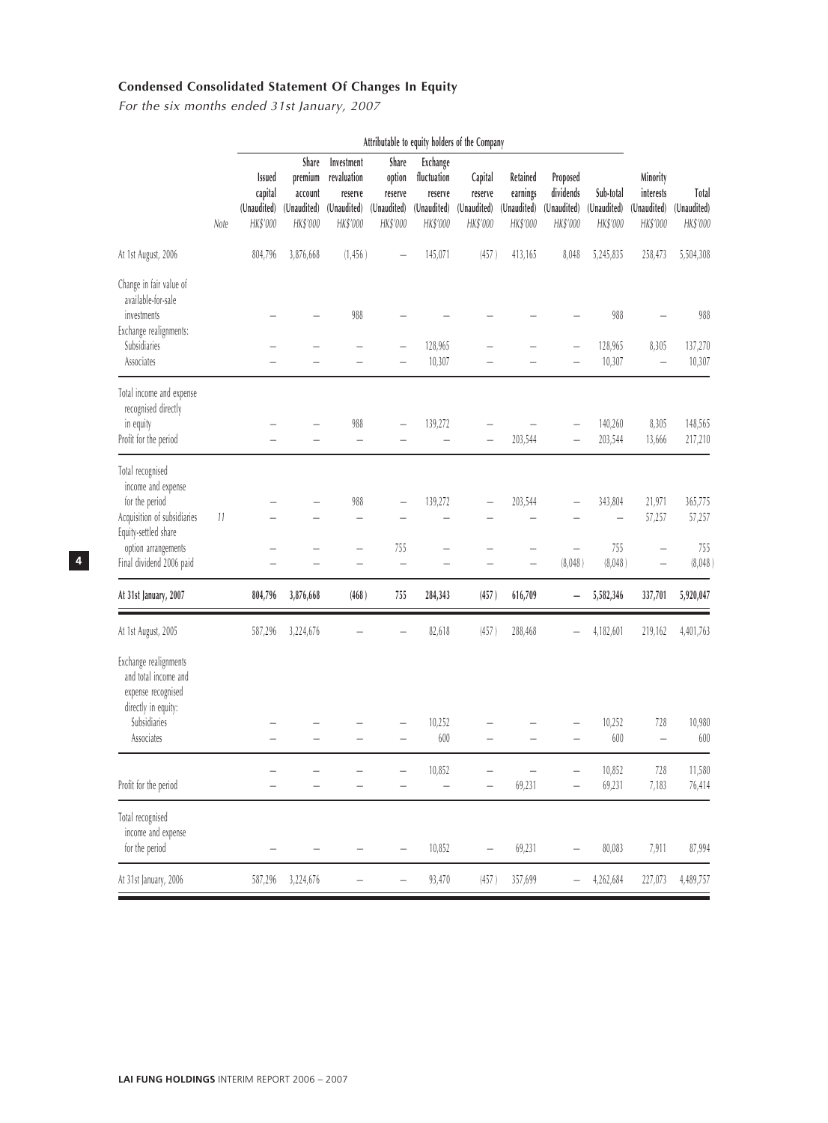# **Condensed Consolidated Statement Of Changes In Equity**

For the six months ended 31st January, 2007

|                                                                                                                                                                    |      |                                              |                                                        |                                                                 |                                                       |                                                               | Attributable to equity holders of the Company |                                                 |                                                  |                                      |                                                  |                                     |
|--------------------------------------------------------------------------------------------------------------------------------------------------------------------|------|----------------------------------------------|--------------------------------------------------------|-----------------------------------------------------------------|-------------------------------------------------------|---------------------------------------------------------------|-----------------------------------------------|-------------------------------------------------|--------------------------------------------------|--------------------------------------|--------------------------------------------------|-------------------------------------|
|                                                                                                                                                                    | Note | Issued<br>capital<br>(Unaudited)<br>HK\$'000 | Share<br>premium<br>account<br>(Unaudited)<br>HK\$'000 | Investment<br>revaluation<br>reserve<br>(Unaudited)<br>HK\$'000 | Share<br>option<br>reserve<br>(Unaudited)<br>HK\$'000 | Exchange<br>fluctuation<br>reserve<br>(Unaudited)<br>HK\$'000 | Capital<br>reserve<br>(Unaudited)<br>HK\$'000 | Retained<br>earnings<br>(Unaudited)<br>HK\$'000 | Proposed<br>dividends<br>(Unaudited)<br>HK\$'000 | Sub-total<br>(Unaudited)<br>HK\$'000 | Minority<br>interests<br>(Unaudited)<br>HK\$'000 | Total<br>(Unaudited)<br>HK\$'000    |
| At 1st August, 2006                                                                                                                                                |      | 804,796                                      | 3,876,668                                              | (1,456)                                                         |                                                       | 145,071                                                       | (457)                                         | 413,165                                         | 8,048                                            | 5,245,835                            | 258,473                                          | 5,504,308                           |
| Change in fair value of<br>available-for-sale<br>investments<br>Exchange realignments:<br>Subsidiaries<br>Associates                                               |      |                                              |                                                        | 988                                                             |                                                       | 128,965<br>10,307                                             |                                               |                                                 |                                                  | 988<br>128,965<br>10,307             | 8,305<br>$\overline{\phantom{0}}$                | 988<br>137,270<br>10,307            |
| Total income and expense<br>recognised directly<br>in equity<br>Profit for the period                                                                              |      |                                              |                                                        | 988<br>$\overline{\phantom{0}}$                                 |                                                       | 139,272                                                       |                                               | 203,544                                         |                                                  | 140,260<br>203,544                   | 8,305<br>13,666                                  | 148,565<br>217,210                  |
| Total recognised<br>income and expense<br>for the period<br>Acquisition of subsidiaries<br>Equity-settled share<br>option arrangements<br>Final dividend 2006 paid | 11   |                                              |                                                        | 988<br>$\overline{\phantom{0}}$                                 | 755                                                   | 139,272                                                       |                                               | 203,544                                         | $\overline{\phantom{0}}$<br>(8,048)              | 343,804<br>755<br>(8,048)            | 21,971<br>57,257<br>L.                           | 365,775<br>57,257<br>755<br>(8,048) |
| At 31st January, 2007                                                                                                                                              |      | 804,796                                      | 3,876,668                                              | (468)                                                           | 755                                                   | 284,343                                                       | (457)                                         | 616,709                                         | -                                                | 5,582,346                            | 337,701                                          | 5,920,047                           |
| At 1st August, 2005                                                                                                                                                |      | 587,296                                      | 3,224,676                                              |                                                                 |                                                       | 82,618                                                        | (457)                                         | 288,468                                         |                                                  | 4,182,601                            | 219,162                                          | 4,401,763                           |
| Exchange realignments<br>and total income and<br>expense recognised<br>directly in equity:<br>Subsidiaries<br>Associates                                           |      |                                              |                                                        |                                                                 |                                                       | 10,252<br>600                                                 |                                               |                                                 |                                                  | 10,252<br>600                        | 728<br>L.                                        | 10,980<br>600                       |
| Profit for the period                                                                                                                                              |      |                                              |                                                        |                                                                 |                                                       | 10,852                                                        |                                               | 69,231                                          |                                                  | 10,852<br>69,231                     | 728<br>7,183                                     | 11,580<br>76,414                    |
| Total recognised<br>income and expense<br>for the period                                                                                                           |      |                                              |                                                        |                                                                 |                                                       | 10,852                                                        |                                               | 69,231                                          |                                                  | 80,083                               | 7,911                                            | 87,994                              |
| At 31st January, 2006                                                                                                                                              |      | 587,296                                      | 3,224,676                                              |                                                                 |                                                       | 93,470                                                        | (457)                                         | 357,699                                         |                                                  | 4,262,684                            | 227,073                                          | 4,489,757                           |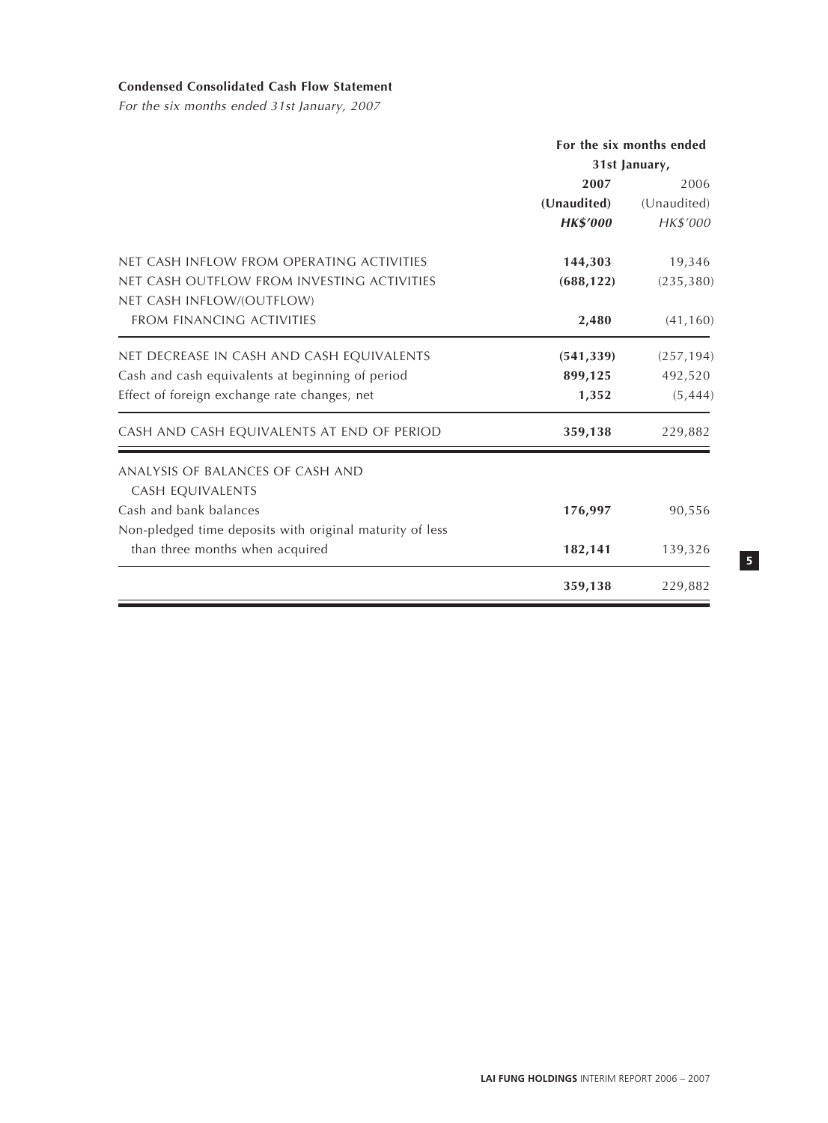# **Condensed Consolidated Cash Flow Statement**

For the six months ended 31st January, 2007

|                                                          |                 | For the six months ended |
|----------------------------------------------------------|-----------------|--------------------------|
|                                                          |                 | 31st January,            |
|                                                          | 2007            | 2006                     |
|                                                          | (Unaudited)     | (Unaudited)              |
|                                                          | <b>HK\$'000</b> | HK\$'000                 |
| NET CASH INFLOW FROM OPERATING ACTIVITIES                | 144,303         | 19,346                   |
| NET CASH OUTFLOW FROM INVESTING ACTIVITIES               | (688, 122)      | (235, 380)               |
| NET CASH INFLOW/(OUTFLOW)                                |                 |                          |
| <b>FROM FINANCING ACTIVITIES</b>                         | 2,480           | (41, 160)                |
| NET DECREASE IN CASH AND CASH EQUIVALENTS                | (541, 339)      | (257, 194)               |
| Cash and cash equivalents at beginning of period         | 899,125         | 492,520                  |
| Effect of foreign exchange rate changes, net             | 1,352           | (5, 444)                 |
| CASH AND CASH EQUIVALENTS AT END OF PERIOD               | 359,138         | 229,882                  |
| ANALYSIS OF BALANCES OF CASH AND                         |                 |                          |
| CASH EQUIVALENTS                                         |                 |                          |
| Cash and bank balances                                   | 176,997         | 90,556                   |
| Non-pledged time deposits with original maturity of less |                 |                          |
| than three months when acquired                          | 182,141         | 139,326                  |
|                                                          | 359,138         | 229,882                  |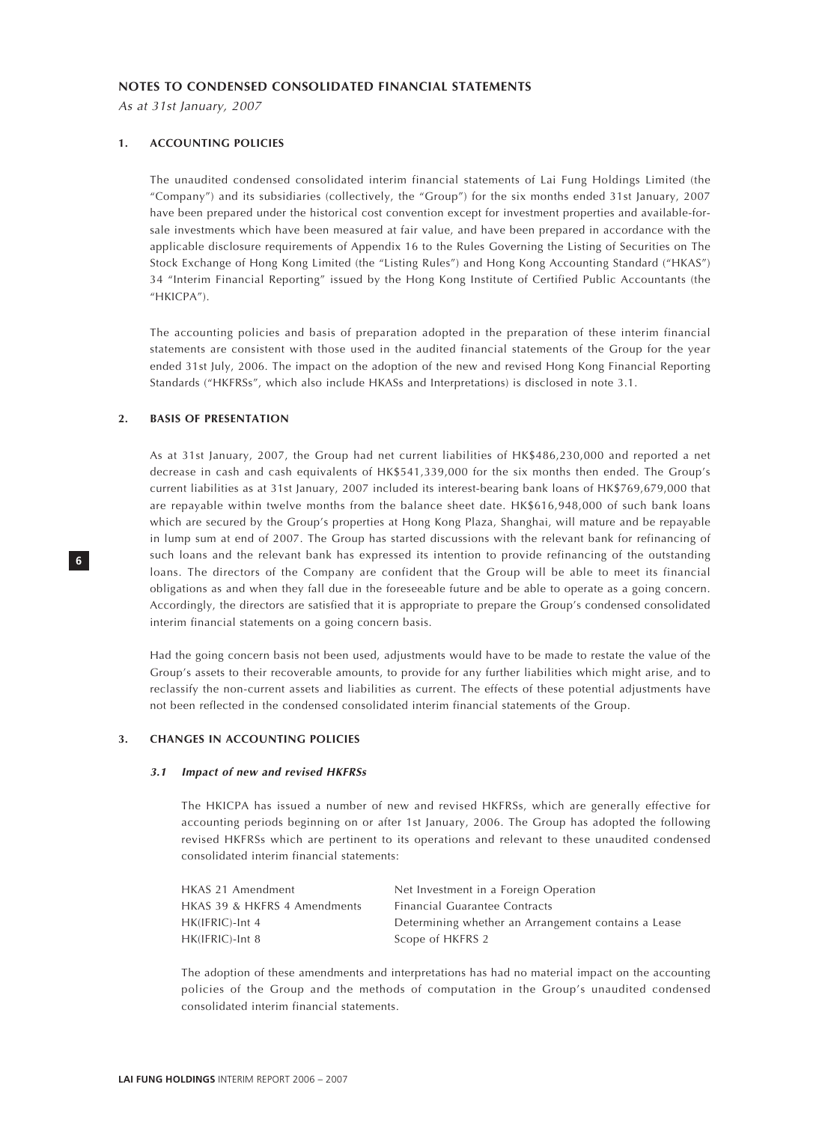#### **NOTES TO CONDENSED CONSOLIDATED FINANCIAL STATEMENTS**

As at 31st January, 2007

#### **1. ACCOUNTING POLICIES**

The unaudited condensed consolidated interim financial statements of Lai Fung Holdings Limited (the "Company") and its subsidiaries (collectively, the "Group") for the six months ended 31st January, 2007 have been prepared under the historical cost convention except for investment properties and available-forsale investments which have been measured at fair value, and have been prepared in accordance with the applicable disclosure requirements of Appendix 16 to the Rules Governing the Listing of Securities on The Stock Exchange of Hong Kong Limited (the "Listing Rules") and Hong Kong Accounting Standard ("HKAS") 34 "Interim Financial Reporting" issued by the Hong Kong Institute of Certified Public Accountants (the "HKICPA").

The accounting policies and basis of preparation adopted in the preparation of these interim financial statements are consistent with those used in the audited financial statements of the Group for the year ended 31st July, 2006. The impact on the adoption of the new and revised Hong Kong Financial Reporting Standards ("HKFRSs", which also include HKASs and Interpretations) is disclosed in note 3.1.

#### **2. BASIS OF PRESENTATION**

As at 31st January, 2007, the Group had net current liabilities of HK\$486,230,000 and reported a net decrease in cash and cash equivalents of HK\$541,339,000 for the six months then ended. The Group's current liabilities as at 31st January, 2007 included its interest-bearing bank loans of HK\$769,679,000 that are repayable within twelve months from the balance sheet date. HK\$616,948,000 of such bank loans which are secured by the Group's properties at Hong Kong Plaza, Shanghai, will mature and be repayable in lump sum at end of 2007. The Group has started discussions with the relevant bank for refinancing of such loans and the relevant bank has expressed its intention to provide refinancing of the outstanding loans. The directors of the Company are confident that the Group will be able to meet its financial obligations as and when they fall due in the foreseeable future and be able to operate as a going concern. Accordingly, the directors are satisfied that it is appropriate to prepare the Group's condensed consolidated interim financial statements on a going concern basis.

Had the going concern basis not been used, adjustments would have to be made to restate the value of the Group's assets to their recoverable amounts, to provide for any further liabilities which might arise, and to reclassify the non-current assets and liabilities as current. The effects of these potential adjustments have not been reflected in the condensed consolidated interim financial statements of the Group.

#### **3. CHANGES IN ACCOUNTING POLICIES**

#### **3.1 Impact of new and revised HKFRSs**

The HKICPA has issued a number of new and revised HKFRSs, which are generally effective for accounting periods beginning on or after 1st January, 2006. The Group has adopted the following revised HKFRSs which are pertinent to its operations and relevant to these unaudited condensed consolidated interim financial statements:

| HKAS 21 Amendment            | Net Investment in a Foreign Operation               |
|------------------------------|-----------------------------------------------------|
| HKAS 39 & HKFRS 4 Amendments | Financial Guarantee Contracts                       |
| $HK(IFRIC)$ -Int 4           | Determining whether an Arrangement contains a Lease |
| $HK(IFRIC)$ -Int 8           | Scope of HKFRS 2                                    |

The adoption of these amendments and interpretations has had no material impact on the accounting policies of the Group and the methods of computation in the Group's unaudited condensed consolidated interim financial statements.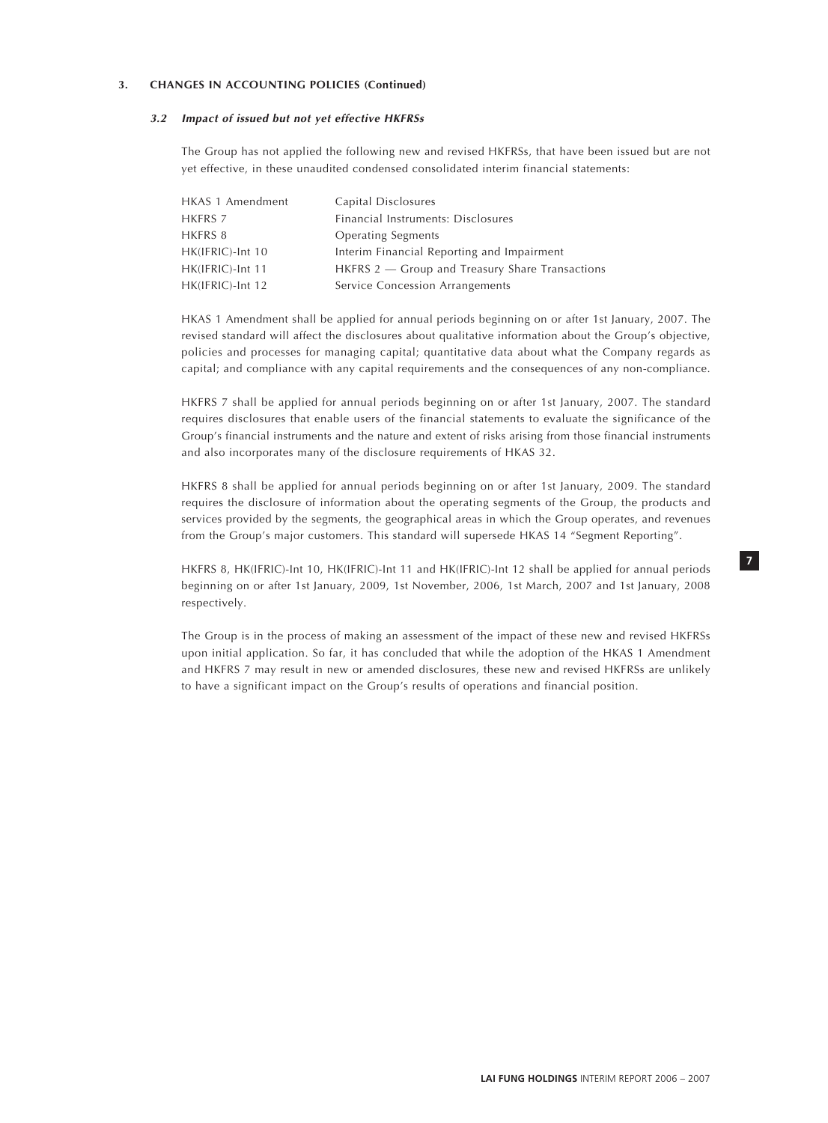#### **3. CHANGES IN ACCOUNTING POLICIES (Continued)**

#### **3.2 Impact of issued but not yet effective HKFRSs**

The Group has not applied the following new and revised HKFRSs, that have been issued but are not yet effective, in these unaudited condensed consolidated interim financial statements:

| HKAS 1 Amendment | Capital Disclosures                             |
|------------------|-------------------------------------------------|
|                  |                                                 |
| <b>HKFRS 7</b>   | Financial Instruments: Disclosures              |
| HKFRS 8          | <b>Operating Segments</b>                       |
| HK(IFRIC)-Int 10 | Interim Financial Reporting and Impairment      |
| HK(IFRIC)-Int 11 | HKFRS 2 – Group and Treasury Share Transactions |
| HK(IFRIC)-Int 12 | Service Concession Arrangements                 |

HKAS 1 Amendment shall be applied for annual periods beginning on or after 1st January, 2007. The revised standard will affect the disclosures about qualitative information about the Group's objective, policies and processes for managing capital; quantitative data about what the Company regards as capital; and compliance with any capital requirements and the consequences of any non-compliance.

HKFRS 7 shall be applied for annual periods beginning on or after 1st January, 2007. The standard requires disclosures that enable users of the financial statements to evaluate the significance of the Group's financial instruments and the nature and extent of risks arising from those financial instruments and also incorporates many of the disclosure requirements of HKAS 32.

HKFRS 8 shall be applied for annual periods beginning on or after 1st January, 2009. The standard requires the disclosure of information about the operating segments of the Group, the products and services provided by the segments, the geographical areas in which the Group operates, and revenues from the Group's major customers. This standard will supersede HKAS 14 "Segment Reporting".

HKFRS 8, HK(IFRIC)-Int 10, HK(IFRIC)-Int 11 and HK(IFRIC)-Int 12 shall be applied for annual periods beginning on or after 1st January, 2009, 1st November, 2006, 1st March, 2007 and 1st January, 2008 respectively.

The Group is in the process of making an assessment of the impact of these new and revised HKFRSs upon initial application. So far, it has concluded that while the adoption of the HKAS 1 Amendment and HKFRS 7 may result in new or amended disclosures, these new and revised HKFRSs are unlikely to have a significant impact on the Group's results of operations and financial position.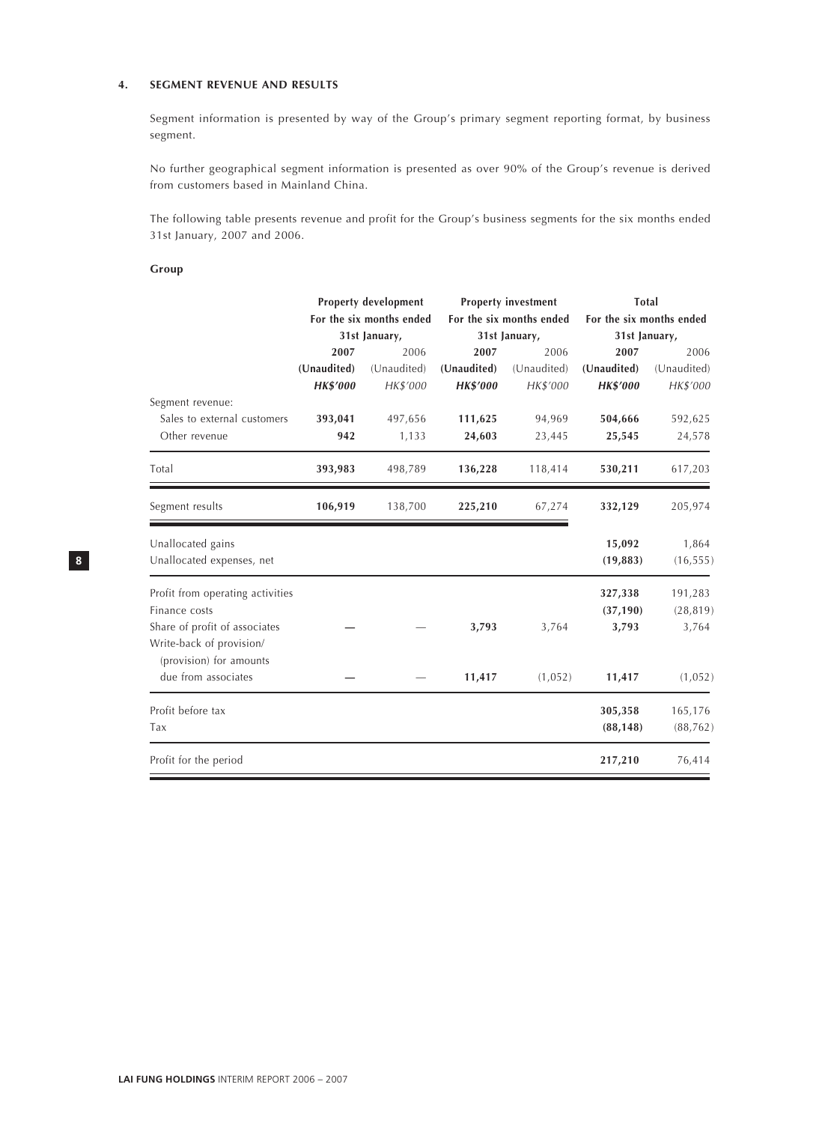## **4. SEGMENT REVENUE AND RESULTS**

Segment information is presented by way of the Group's primary segment reporting format, by business segment.

No further geographical segment information is presented as over 90% of the Group's revenue is derived from customers based in Mainland China.

The following table presents revenue and profit for the Group's business segments for the six months ended 31st January, 2007 and 2006.

#### **Group**

|                                                           |                 | Property development     |                 | <b>Property investment</b> | Total                    |             |  |
|-----------------------------------------------------------|-----------------|--------------------------|-----------------|----------------------------|--------------------------|-------------|--|
|                                                           |                 | For the six months ended |                 | For the six months ended   | For the six months ended |             |  |
|                                                           |                 | 31st January,            |                 | 31st January,              | 31st January,            |             |  |
|                                                           | 2007            | 2006                     | 2007            | 2006                       | 2007                     | 2006        |  |
|                                                           | (Unaudited)     | (Unaudited)              | (Unaudited)     | (Unaudited)                | (Unaudited)              | (Unaudited) |  |
|                                                           | <b>HK\$'000</b> | HK\$'000                 | <b>HK\$'000</b> | HK\$'000                   | <b>HK\$'000</b>          | HK\$'000    |  |
| Segment revenue:                                          |                 |                          |                 |                            |                          |             |  |
| Sales to external customers                               | 393,041         | 497,656                  | 111,625         | 94,969                     | 504,666                  | 592,625     |  |
| Other revenue                                             | 942             | 1,133                    | 24,603          | 23,445                     | 25,545                   | 24,578      |  |
| Total                                                     | 393,983         | 498,789                  | 136,228         | 118,414                    | 530,211                  | 617,203     |  |
| Segment results                                           | 106,919         | 138,700                  | 225,210         | 67,274                     | 332,129                  | 205,974     |  |
| Unallocated gains                                         |                 |                          |                 |                            | 15,092                   | 1,864       |  |
| Unallocated expenses, net                                 |                 |                          |                 |                            | (19, 883)                | (16, 555)   |  |
| Profit from operating activities                          |                 |                          |                 |                            | 327,338                  | 191,283     |  |
| Finance costs                                             |                 |                          |                 |                            | (37, 190)                | (28, 819)   |  |
| Share of profit of associates<br>Write-back of provision/ |                 |                          | 3,793           | 3,764                      | 3,793                    | 3,764       |  |
| (provision) for amounts<br>due from associates            |                 |                          | 11,417          | (1,052)                    | 11,417                   | (1,052)     |  |
|                                                           |                 |                          |                 |                            |                          |             |  |
| Profit before tax                                         |                 |                          |                 |                            | 305,358                  | 165,176     |  |
| Tax                                                       |                 |                          |                 |                            | (88, 148)                | (88, 762)   |  |
| Profit for the period                                     |                 |                          |                 |                            | 217,210                  | 76,414      |  |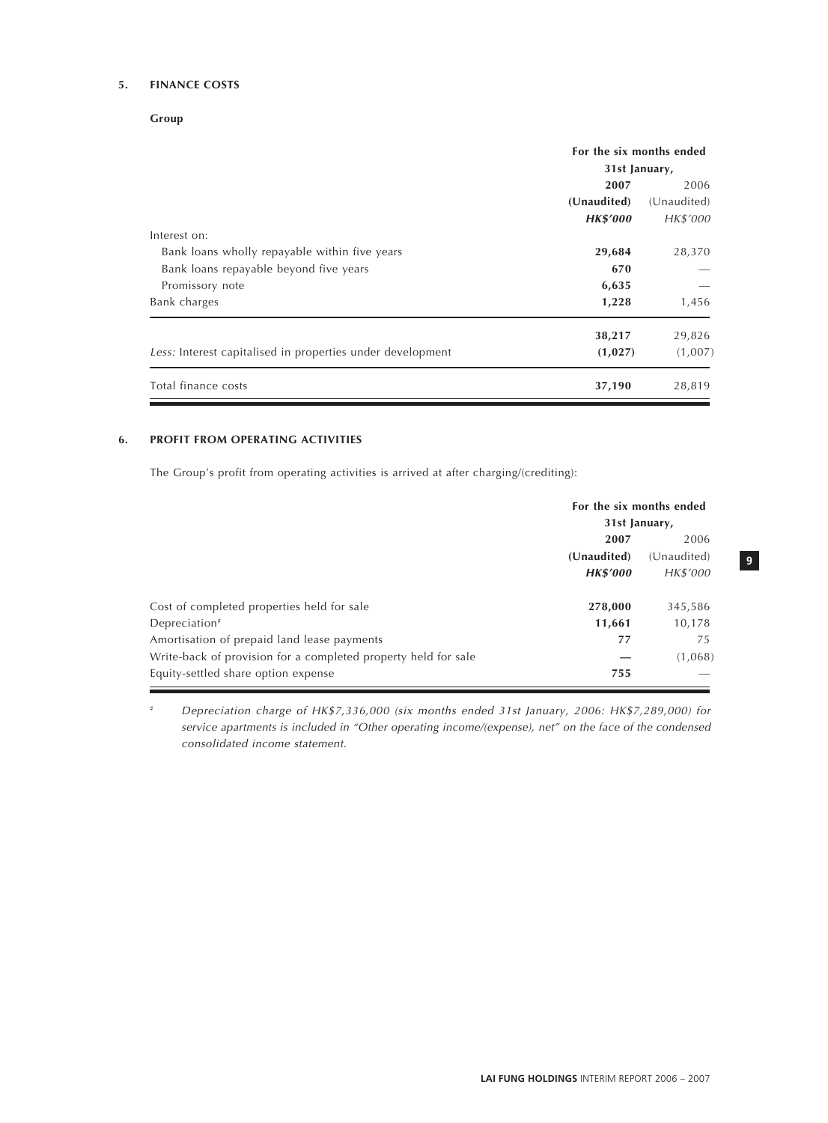## **5. FINANCE COSTS**

**Group**

|                                                            |                 | For the six months ended |  |
|------------------------------------------------------------|-----------------|--------------------------|--|
|                                                            | 31st January,   |                          |  |
|                                                            | 2007            | 2006                     |  |
|                                                            | (Unaudited)     | (Unaudited)              |  |
|                                                            | <b>HK\$'000</b> | HK\$'000                 |  |
| Interest on:                                               |                 |                          |  |
| Bank loans wholly repayable within five years              | 29,684          | 28,370                   |  |
| Bank loans repayable beyond five years                     | 670             |                          |  |
| Promissory note                                            | 6,635           |                          |  |
| Bank charges                                               | 1,228           | 1,456                    |  |
|                                                            | 38,217          | 29,826                   |  |
| Less: Interest capitalised in properties under development | (1,027)         | (1,007)                  |  |
| Total finance costs                                        | 37,190          | 28,819                   |  |

## **6. PROFIT FROM OPERATING ACTIVITIES**

The Group's profit from operating activities is arrived at after charging/(crediting):

|                                                                | For the six months ended<br>31st January, |             |  |
|----------------------------------------------------------------|-------------------------------------------|-------------|--|
|                                                                |                                           |             |  |
|                                                                | 2007<br>2006                              |             |  |
|                                                                | (Unaudited)                               | (Unaudited) |  |
|                                                                | <b>HK\$'000</b>                           | HK\$'000    |  |
|                                                                |                                           |             |  |
| Cost of completed properties held for sale                     | 278,000                                   | 345,586     |  |
| Depreciation <sup>#</sup>                                      | 11,661                                    | 10,178      |  |
| Amortisation of prepaid land lease payments                    | 77                                        | 75          |  |
| Write-back of provision for a completed property held for sale |                                           | (1,068)     |  |
| Equity-settled share option expense                            | 755                                       |             |  |

Depreciation charge of HK\$7,336,000 (six months ended 31st January, 2006: HK\$7,289,000) for service apartments is included in "Other operating income/(expense), net" on the face of the condensed consolidated income statement.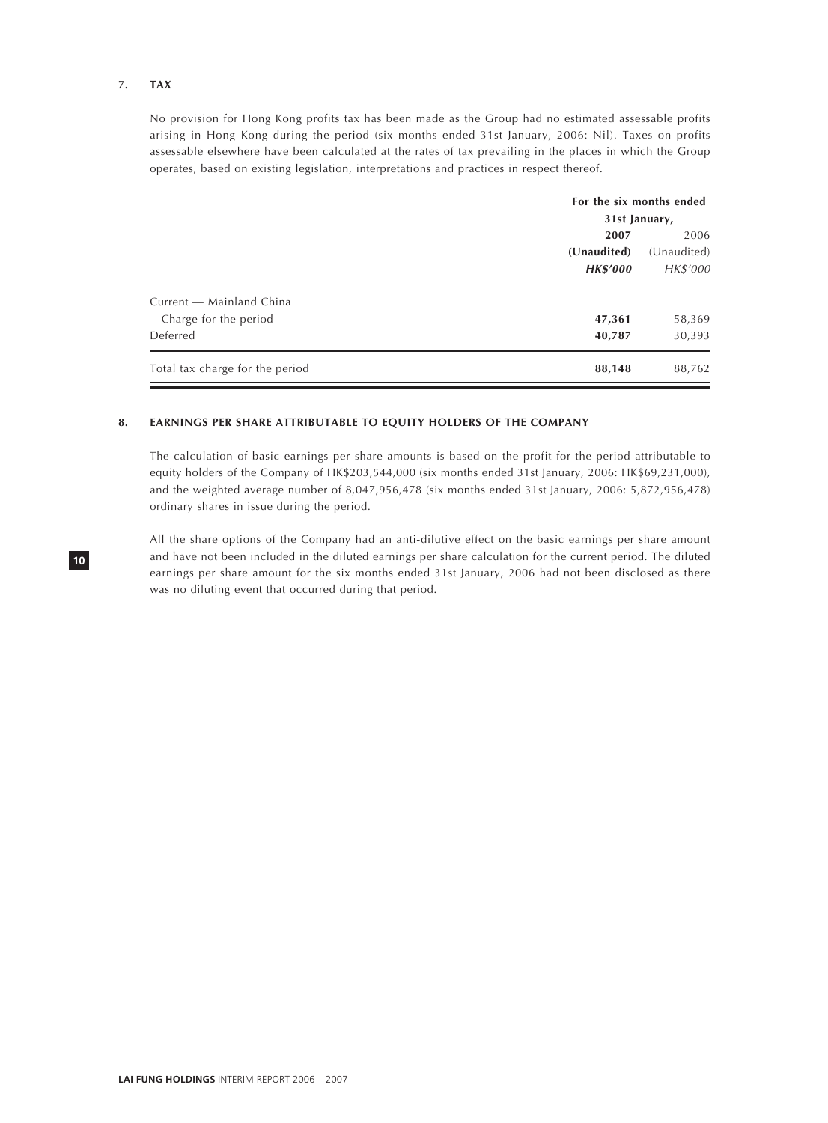## **7. TAX**

No provision for Hong Kong profits tax has been made as the Group had no estimated assessable profits arising in Hong Kong during the period (six months ended 31st January, 2006: Nil). Taxes on profits assessable elsewhere have been calculated at the rates of tax prevailing in the places in which the Group operates, based on existing legislation, interpretations and practices in respect thereof.

|                                 | For the six months ended<br>31st January, |             |  |
|---------------------------------|-------------------------------------------|-------------|--|
|                                 |                                           |             |  |
|                                 | 2007                                      | 2006        |  |
|                                 | (Unaudited)                               | (Unaudited) |  |
|                                 | <b>HK\$'000</b>                           | HK\$'000    |  |
| Current - Mainland China        |                                           |             |  |
| Charge for the period           | 47,361                                    | 58,369      |  |
| Deferred                        | 40,787                                    | 30,393      |  |
| Total tax charge for the period | 88,148                                    | 88,762      |  |

#### **8. EARNINGS PER SHARE ATTRIBUTABLE TO EQUITY HOLDERS OF THE COMPANY**

The calculation of basic earnings per share amounts is based on the profit for the period attributable to equity holders of the Company of HK\$203,544,000 (six months ended 31st January, 2006: HK\$69,231,000), and the weighted average number of 8,047,956,478 (six months ended 31st January, 2006: 5,872,956,478) ordinary shares in issue during the period.

All the share options of the Company had an anti-dilutive effect on the basic earnings per share amount and have not been included in the diluted earnings per share calculation for the current period. The diluted earnings per share amount for the six months ended 31st January, 2006 had not been disclosed as there was no diluting event that occurred during that period.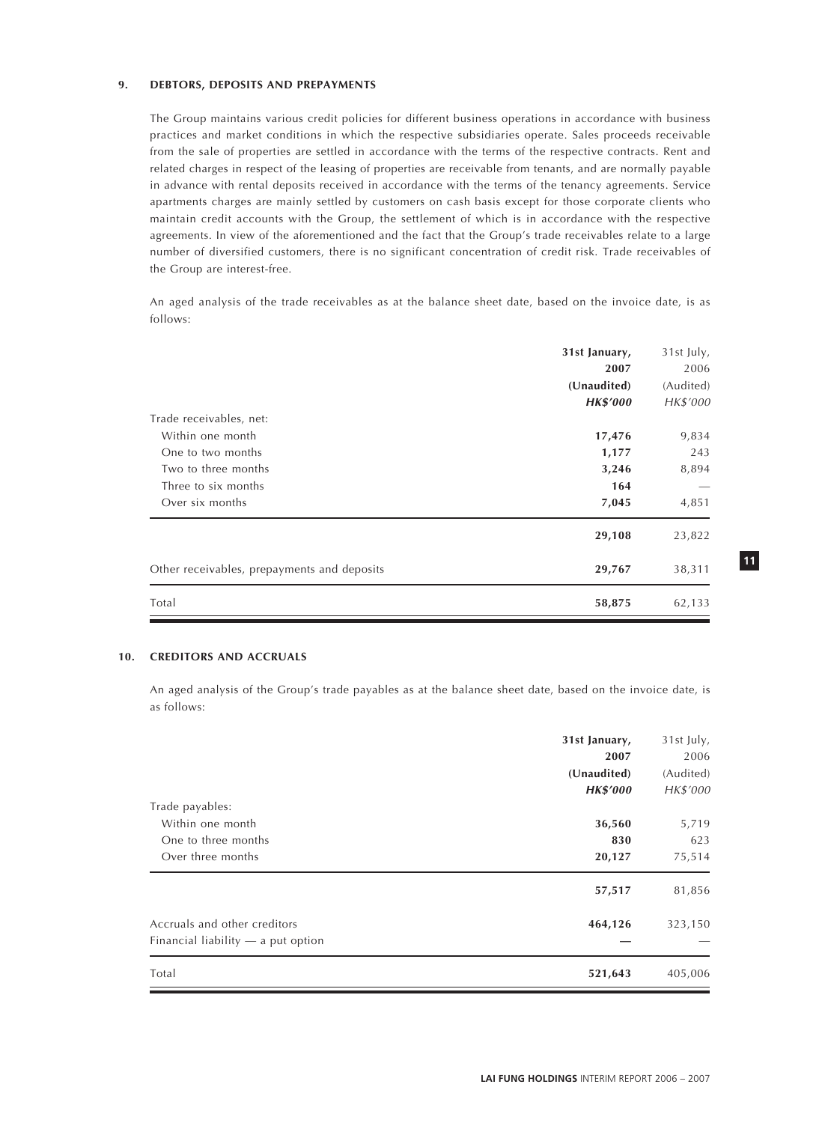#### **9. DEBTORS, DEPOSITS AND PREPAYMENTS**

The Group maintains various credit policies for different business operations in accordance with business practices and market conditions in which the respective subsidiaries operate. Sales proceeds receivable from the sale of properties are settled in accordance with the terms of the respective contracts. Rent and related charges in respect of the leasing of properties are receivable from tenants, and are normally payable in advance with rental deposits received in accordance with the terms of the tenancy agreements. Service apartments charges are mainly settled by customers on cash basis except for those corporate clients who maintain credit accounts with the Group, the settlement of which is in accordance with the respective agreements. In view of the aforementioned and the fact that the Group's trade receivables relate to a large number of diversified customers, there is no significant concentration of credit risk. Trade receivables of the Group are interest-free.

An aged analysis of the trade receivables as at the balance sheet date, based on the invoice date, is as follows:

|                                             | 31st January,   | 31st July, |
|---------------------------------------------|-----------------|------------|
|                                             | 2007            | 2006       |
|                                             | (Unaudited)     | (Audited)  |
|                                             | <b>HK\$'000</b> | HK\$'000   |
| Trade receivables, net:                     |                 |            |
| Within one month                            | 17,476          | 9,834      |
| One to two months                           | 1,177           | 243        |
| Two to three months                         | 3,246           | 8,894      |
| Three to six months                         | 164             |            |
| Over six months                             | 7,045           | 4,851      |
|                                             | 29,108          | 23,822     |
| Other receivables, prepayments and deposits | 29,767          | 38,311     |
| Total                                       | 58,875          | 62,133     |

#### **10. CREDITORS AND ACCRUALS**

An aged analysis of the Group's trade payables as at the balance sheet date, based on the invoice date, is as follows:

|                                      | 31st January,   | 31st July, |
|--------------------------------------|-----------------|------------|
|                                      | 2007            | 2006       |
|                                      | (Unaudited)     | (Audited)  |
|                                      | <b>HK\$'000</b> | HK\$'000   |
| Trade payables:                      |                 |            |
| Within one month                     | 36,560          | 5,719      |
| One to three months                  | 830             | 623        |
| Over three months                    | 20,127          | 75,514     |
|                                      | 57,517          | 81,856     |
| Accruals and other creditors         | 464,126         | 323,150    |
| Financial liability $-$ a put option |                 |            |
| Total                                | 521,643         | 405,006    |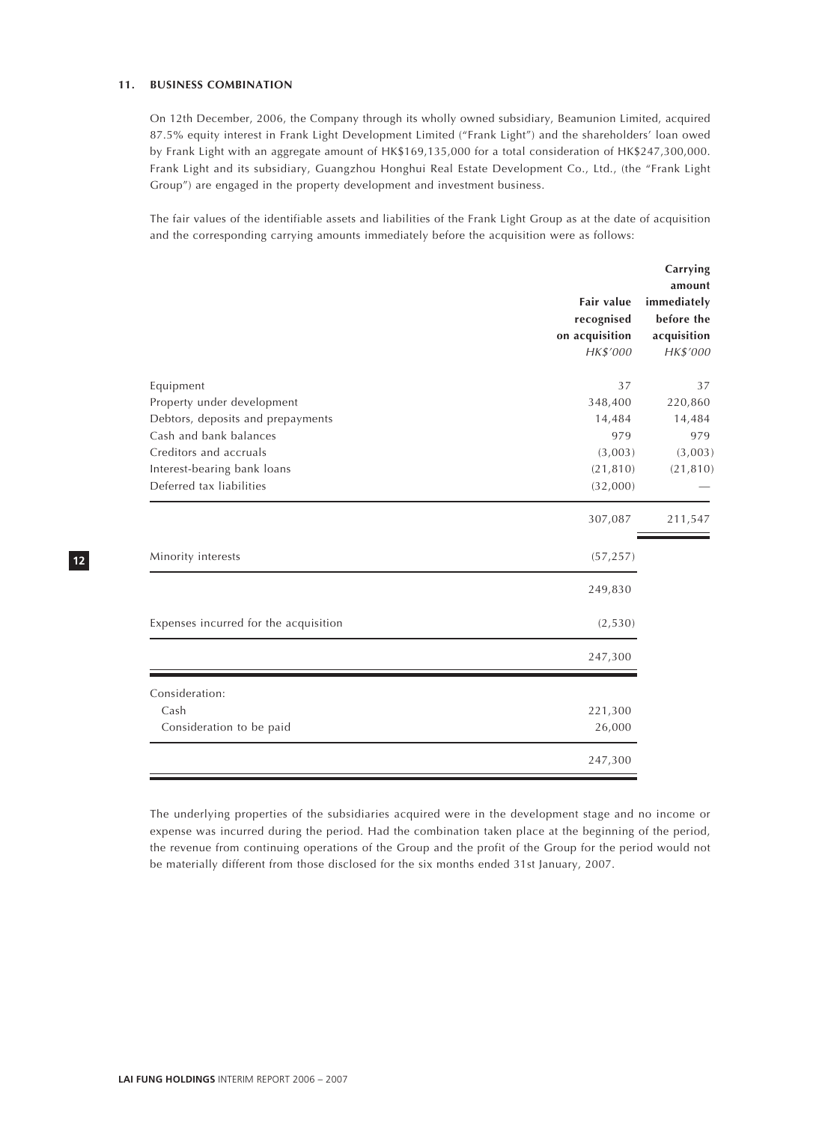#### **11. BUSINESS COMBINATION**

On 12th December, 2006, the Company through its wholly owned subsidiary, Beamunion Limited, acquired 87.5% equity interest in Frank Light Development Limited ("Frank Light") and the shareholders' loan owed by Frank Light with an aggregate amount of HK\$169,135,000 for a total consideration of HK\$247,300,000. Frank Light and its subsidiary, Guangzhou Honghui Real Estate Development Co., Ltd., (the "Frank Light Group") are engaged in the property development and investment business.

The fair values of the identifiable assets and liabilities of the Frank Light Group as at the date of acquisition and the corresponding carrying amounts immediately before the acquisition were as follows:

|                                       | Fair value<br>recognised<br>on acquisition<br>HK\$'000 | Carrying<br>amount<br>immediately<br>before the<br>acquisition<br>HK\$'000 |
|---------------------------------------|--------------------------------------------------------|----------------------------------------------------------------------------|
| Equipment                             | 37                                                     | 37                                                                         |
| Property under development            | 348,400                                                | 220,860                                                                    |
| Debtors, deposits and prepayments     | 14,484                                                 | 14,484                                                                     |
| Cash and bank balances                | 979                                                    | 979                                                                        |
| Creditors and accruals                | (3,003)                                                | (3,003)                                                                    |
| Interest-bearing bank loans           | (21, 810)                                              | (21, 810)                                                                  |
| Deferred tax liabilities              | (32,000)                                               |                                                                            |
|                                       | 307,087                                                | 211,547                                                                    |
| Minority interests                    | (57, 257)                                              |                                                                            |
|                                       | 249,830                                                |                                                                            |
| Expenses incurred for the acquisition | (2, 530)                                               |                                                                            |
|                                       | 247,300                                                |                                                                            |
| Consideration:                        |                                                        |                                                                            |
| Cash                                  | 221,300                                                |                                                                            |
| Consideration to be paid              | 26,000                                                 |                                                                            |
|                                       | 247,300                                                |                                                                            |

The underlying properties of the subsidiaries acquired were in the development stage and no income or expense was incurred during the period. Had the combination taken place at the beginning of the period, the revenue from continuing operations of the Group and the profit of the Group for the period would not be materially different from those disclosed for the six months ended 31st January, 2007.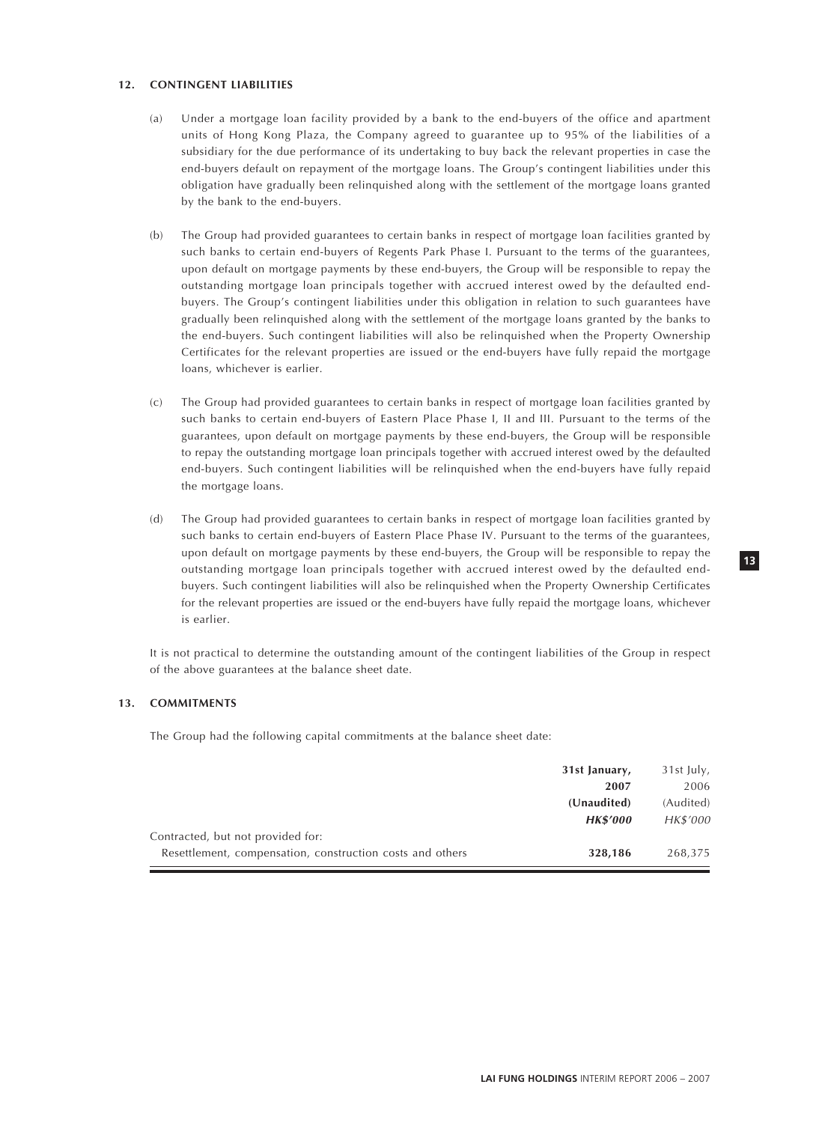#### **12. CONTINGENT LIABILITIES**

- (a) Under a mortgage loan facility provided by a bank to the end-buyers of the office and apartment units of Hong Kong Plaza, the Company agreed to guarantee up to 95% of the liabilities of a subsidiary for the due performance of its undertaking to buy back the relevant properties in case the end-buyers default on repayment of the mortgage loans. The Group's contingent liabilities under this obligation have gradually been relinquished along with the settlement of the mortgage loans granted by the bank to the end-buyers.
- (b) The Group had provided guarantees to certain banks in respect of mortgage loan facilities granted by such banks to certain end-buyers of Regents Park Phase I. Pursuant to the terms of the guarantees, upon default on mortgage payments by these end-buyers, the Group will be responsible to repay the outstanding mortgage loan principals together with accrued interest owed by the defaulted endbuyers. The Group's contingent liabilities under this obligation in relation to such guarantees have gradually been relinquished along with the settlement of the mortgage loans granted by the banks to the end-buyers. Such contingent liabilities will also be relinquished when the Property Ownership Certificates for the relevant properties are issued or the end-buyers have fully repaid the mortgage loans, whichever is earlier.
- (c) The Group had provided guarantees to certain banks in respect of mortgage loan facilities granted by such banks to certain end-buyers of Eastern Place Phase I, II and III. Pursuant to the terms of the guarantees, upon default on mortgage payments by these end-buyers, the Group will be responsible to repay the outstanding mortgage loan principals together with accrued interest owed by the defaulted end-buyers. Such contingent liabilities will be relinquished when the end-buyers have fully repaid the mortgage loans.
- (d) The Group had provided guarantees to certain banks in respect of mortgage loan facilities granted by such banks to certain end-buyers of Eastern Place Phase IV. Pursuant to the terms of the guarantees, upon default on mortgage payments by these end-buyers, the Group will be responsible to repay the outstanding mortgage loan principals together with accrued interest owed by the defaulted endbuyers. Such contingent liabilities will also be relinquished when the Property Ownership Certificates for the relevant properties are issued or the end-buyers have fully repaid the mortgage loans, whichever is earlier.

It is not practical to determine the outstanding amount of the contingent liabilities of the Group in respect of the above guarantees at the balance sheet date.

#### **13. COMMITMENTS**

The Group had the following capital commitments at the balance sheet date:

|                                                           | 31st January,   | 31st July, |
|-----------------------------------------------------------|-----------------|------------|
|                                                           | 2007            | 2006       |
|                                                           | (Unaudited)     | (Audited)  |
|                                                           | <b>HK\$'000</b> | HK\$'000   |
| Contracted, but not provided for:                         |                 |            |
| Resettlement, compensation, construction costs and others | 328,186         | 268,375    |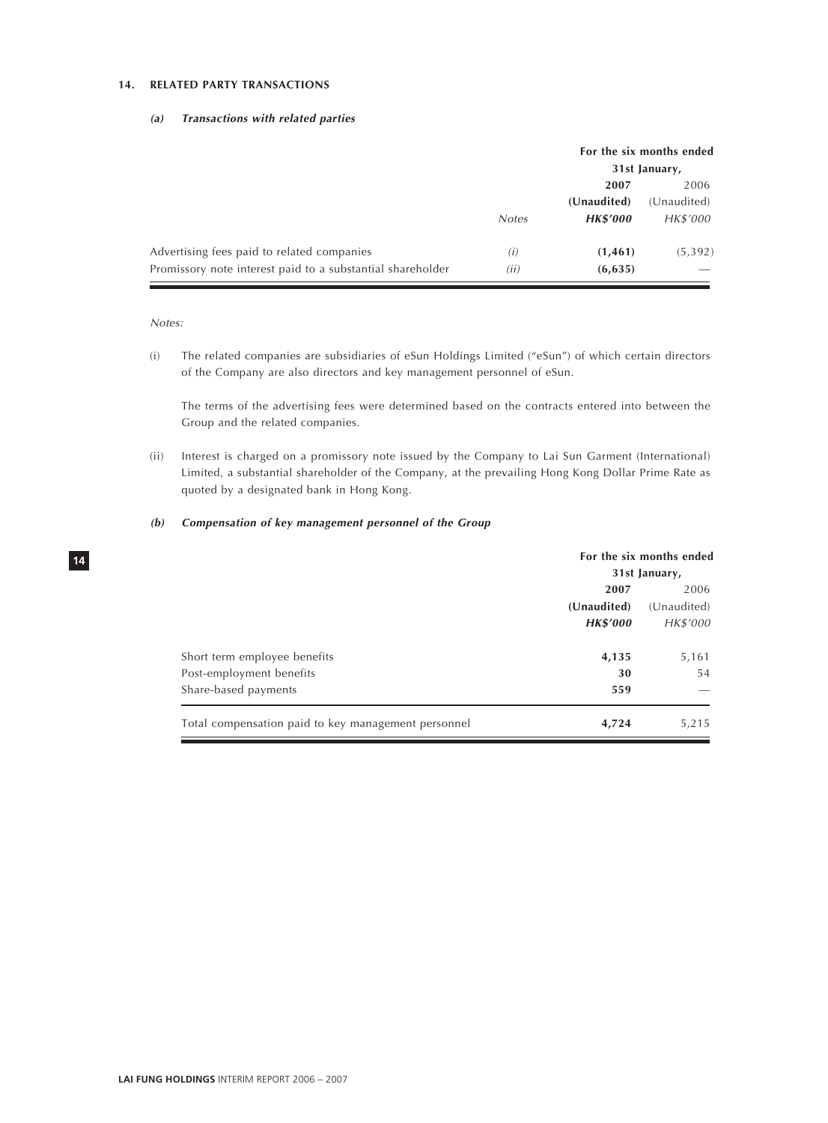#### **14. RELATED PARTY TRANSACTIONS**

#### **(a) Transactions with related parties**

|                                                            |              | For the six months ended<br>31st January, |             |
|------------------------------------------------------------|--------------|-------------------------------------------|-------------|
|                                                            |              | 2007                                      |             |
|                                                            |              | (Unaudited)                               | (Unaudited) |
|                                                            | <b>Notes</b> | <b>HK\$'000</b>                           | HK\$'000    |
| Advertising fees paid to related companies                 | (i)          | (1, 461)                                  | (5, 392)    |
| Promissory note interest paid to a substantial shareholder | (ii)         | (6, 635)                                  |             |

Notes:

**14**

(i) The related companies are subsidiaries of eSun Holdings Limited ("eSun") of which certain directors of the Company are also directors and key management personnel of eSun.

The terms of the advertising fees were determined based on the contracts entered into between the Group and the related companies.

(ii) Interest is charged on a promissory note issued by the Company to Lai Sun Garment (International) Limited, a substantial shareholder of the Company, at the prevailing Hong Kong Dollar Prime Rate as quoted by a designated bank in Hong Kong.

#### **(b) Compensation of key management personnel of the Group**

|                                                     | For the six months ended |             |
|-----------------------------------------------------|--------------------------|-------------|
|                                                     | 31st January,            |             |
|                                                     | 2006<br>2007             |             |
|                                                     | (Unaudited)              | (Unaudited) |
|                                                     | <b>HK\$'000</b>          | HK\$'000    |
| Short term employee benefits                        | 4,135                    | 5,161       |
| Post-employment benefits                            | 30                       | 54          |
| Share-based payments                                | 559                      |             |
| Total compensation paid to key management personnel | 4,724                    | 5,215       |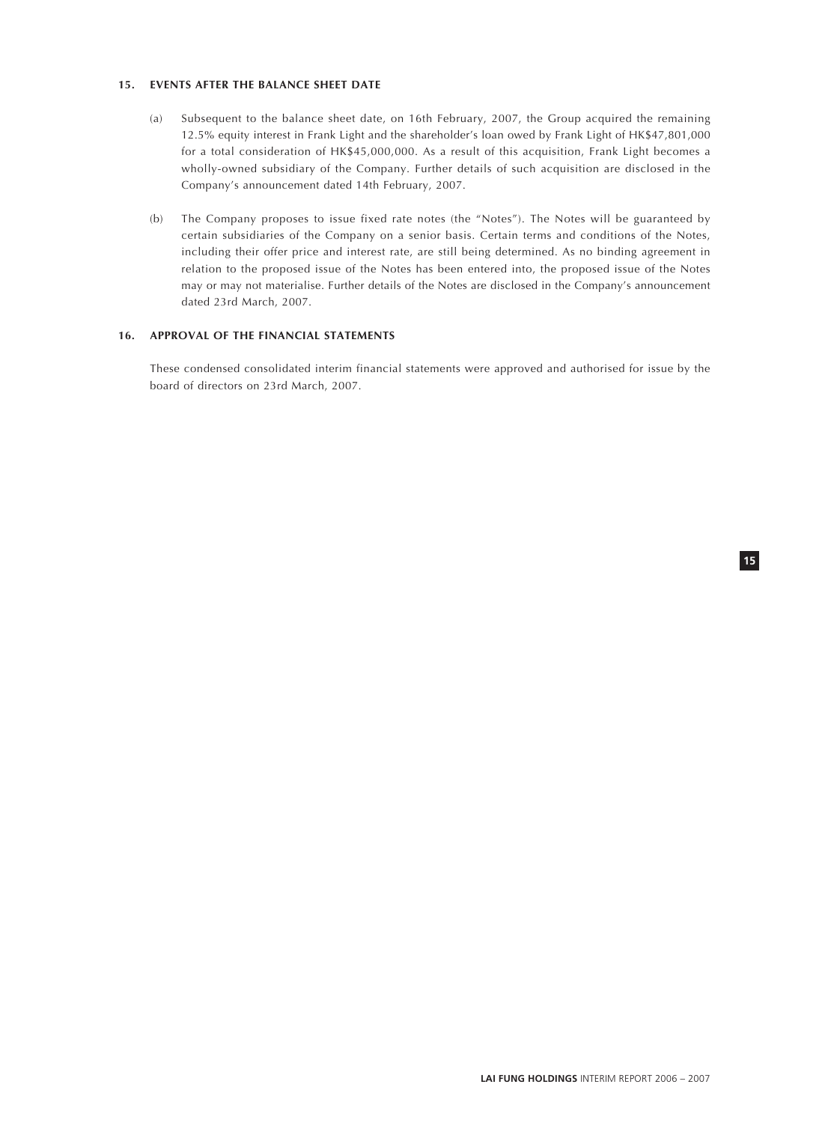#### **15. EVENTS AFTER THE BALANCE SHEET DATE**

- (a) Subsequent to the balance sheet date, on 16th February, 2007, the Group acquired the remaining 12.5% equity interest in Frank Light and the shareholder's loan owed by Frank Light of HK\$47,801,000 for a total consideration of HK\$45,000,000. As a result of this acquisition, Frank Light becomes a wholly-owned subsidiary of the Company. Further details of such acquisition are disclosed in the Company's announcement dated 14th February, 2007.
- (b) The Company proposes to issue fixed rate notes (the "Notes"). The Notes will be guaranteed by certain subsidiaries of the Company on a senior basis. Certain terms and conditions of the Notes, including their offer price and interest rate, are still being determined. As no binding agreement in relation to the proposed issue of the Notes has been entered into, the proposed issue of the Notes may or may not materialise. Further details of the Notes are disclosed in the Company's announcement dated 23rd March, 2007.

## **16. APPROVAL OF THE FINANCIAL STATEMENTS**

These condensed consolidated interim financial statements were approved and authorised for issue by the board of directors on 23rd March, 2007.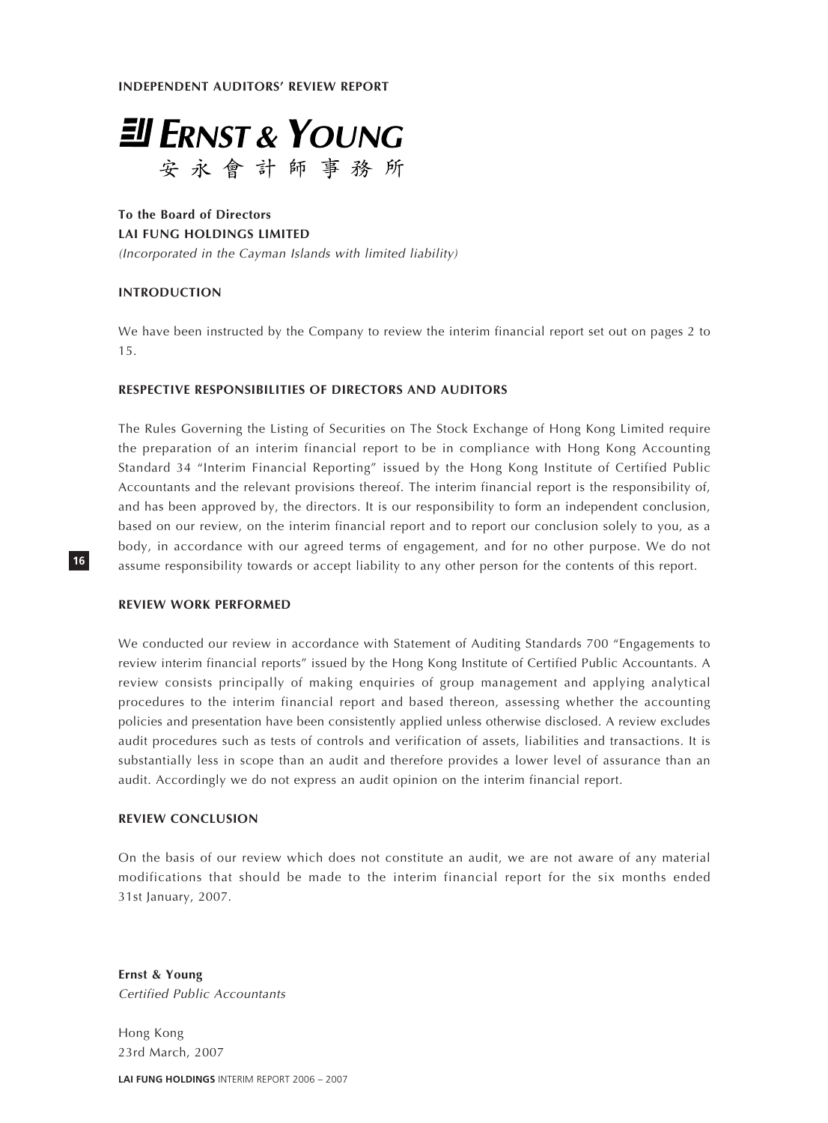**INDEPENDENT AUDITORS' REVIEW REPORT**



**To the Board of Directors LAI FUNG HOLDINGS LIMITED** (Incorporated in the Cayman Islands with limited liability)

## **INTRODUCTION**

We have been instructed by the Company to review the interim financial report set out on pages 2 to 15.

## **RESPECTIVE RESPONSIBILITIES OF DIRECTORS AND AUDITORS**

The Rules Governing the Listing of Securities on The Stock Exchange of Hong Kong Limited require the preparation of an interim financial report to be in compliance with Hong Kong Accounting Standard 34 "Interim Financial Reporting" issued by the Hong Kong Institute of Certified Public Accountants and the relevant provisions thereof. The interim financial report is the responsibility of, and has been approved by, the directors. It is our responsibility to form an independent conclusion, based on our review, on the interim financial report and to report our conclusion solely to you, as a body, in accordance with our agreed terms of engagement, and for no other purpose. We do not assume responsibility towards or accept liability to any other person for the contents of this report.

## **REVIEW WORK PERFORMED**

**16**

We conducted our review in accordance with Statement of Auditing Standards 700 "Engagements to review interim financial reports" issued by the Hong Kong Institute of Certified Public Accountants. A review consists principally of making enquiries of group management and applying analytical procedures to the interim financial report and based thereon, assessing whether the accounting policies and presentation have been consistently applied unless otherwise disclosed. A review excludes audit procedures such as tests of controls and verification of assets, liabilities and transactions. It is substantially less in scope than an audit and therefore provides a lower level of assurance than an audit. Accordingly we do not express an audit opinion on the interim financial report.

#### **REVIEW CONCLUSION**

On the basis of our review which does not constitute an audit, we are not aware of any material modifications that should be made to the interim financial report for the six months ended 31st January, 2007.

**Ernst & Young** Certified Public Accountants

Hong Kong 23rd March, 2007

**LAI FUNG HOLDINGS** INTERIM REPORT 2006 – 2007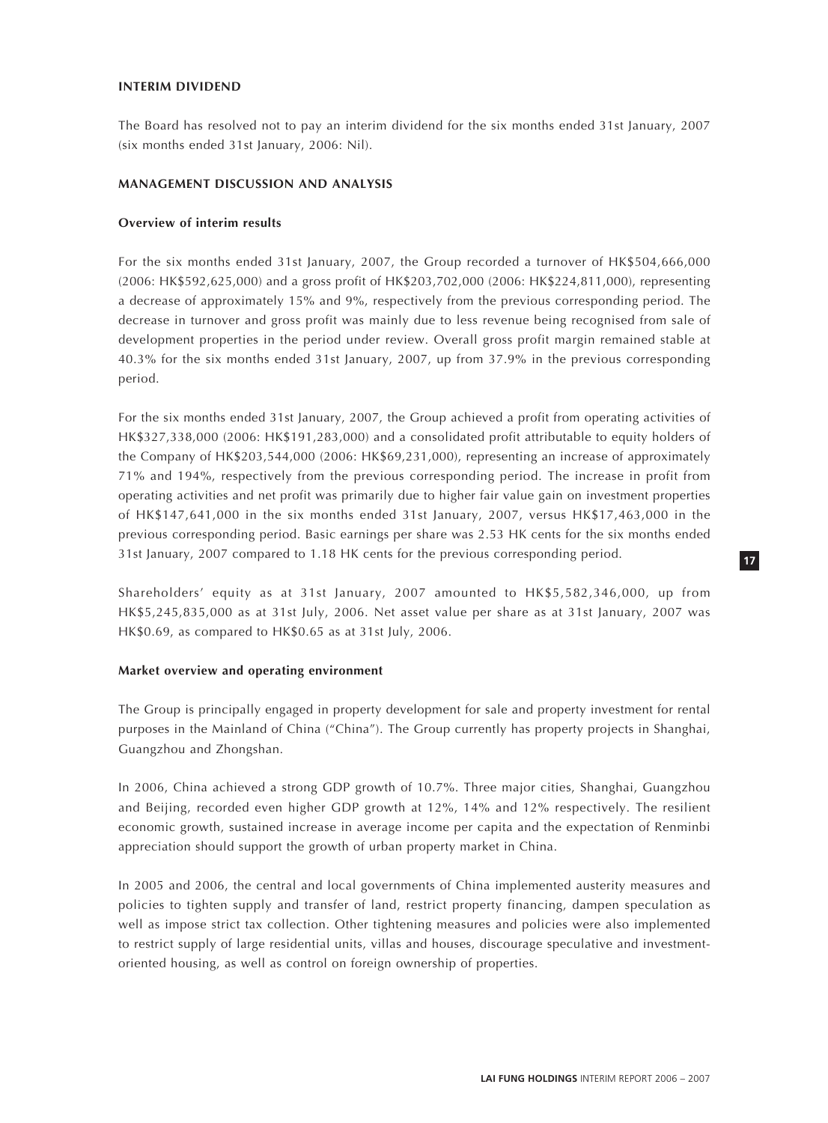## **INTERIM DIVIDEND**

The Board has resolved not to pay an interim dividend for the six months ended 31st January, 2007 (six months ended 31st January, 2006: Nil).

#### **MANAGEMENT DISCUSSION AND ANALYSIS**

#### **Overview of interim results**

For the six months ended 31st January, 2007, the Group recorded a turnover of HK\$504,666,000 (2006: HK\$592,625,000) and a gross profit of HK\$203,702,000 (2006: HK\$224,811,000), representing a decrease of approximately 15% and 9%, respectively from the previous corresponding period. The decrease in turnover and gross profit was mainly due to less revenue being recognised from sale of development properties in the period under review. Overall gross profit margin remained stable at 40.3% for the six months ended 31st January, 2007, up from 37.9% in the previous corresponding period.

For the six months ended 31st January, 2007, the Group achieved a profit from operating activities of HK\$327,338,000 (2006: HK\$191,283,000) and a consolidated profit attributable to equity holders of the Company of HK\$203,544,000 (2006: HK\$69,231,000), representing an increase of approximately 71% and 194%, respectively from the previous corresponding period. The increase in profit from operating activities and net profit was primarily due to higher fair value gain on investment properties of HK\$147,641,000 in the six months ended 31st January, 2007, versus HK\$17,463,000 in the previous corresponding period. Basic earnings per share was 2.53 HK cents for the six months ended 31st January, 2007 compared to 1.18 HK cents for the previous corresponding period.

Shareholders' equity as at 31st January, 2007 amounted to HK\$5,582,346,000, up from HK\$5,245,835,000 as at 31st July, 2006. Net asset value per share as at 31st January, 2007 was HK\$0.69, as compared to HK\$0.65 as at 31st July, 2006.

#### **Market overview and operating environment**

The Group is principally engaged in property development for sale and property investment for rental purposes in the Mainland of China ("China"). The Group currently has property projects in Shanghai, Guangzhou and Zhongshan.

In 2006, China achieved a strong GDP growth of 10.7%. Three major cities, Shanghai, Guangzhou and Beijing, recorded even higher GDP growth at 12%, 14% and 12% respectively. The resilient economic growth, sustained increase in average income per capita and the expectation of Renminbi appreciation should support the growth of urban property market in China.

In 2005 and 2006, the central and local governments of China implemented austerity measures and policies to tighten supply and transfer of land, restrict property financing, dampen speculation as well as impose strict tax collection. Other tightening measures and policies were also implemented to restrict supply of large residential units, villas and houses, discourage speculative and investmentoriented housing, as well as control on foreign ownership of properties.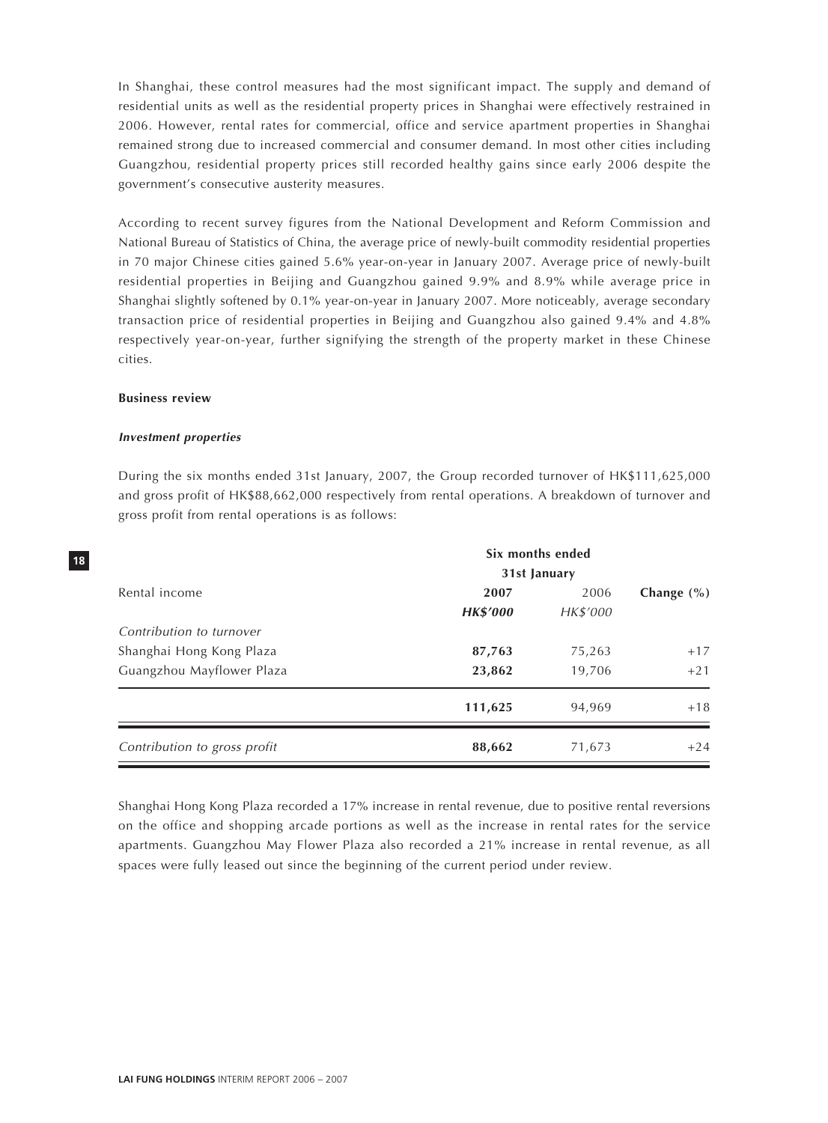In Shanghai, these control measures had the most significant impact. The supply and demand of residential units as well as the residential property prices in Shanghai were effectively restrained in 2006. However, rental rates for commercial, office and service apartment properties in Shanghai remained strong due to increased commercial and consumer demand. In most other cities including Guangzhou, residential property prices still recorded healthy gains since early 2006 despite the government's consecutive austerity measures.

According to recent survey figures from the National Development and Reform Commission and National Bureau of Statistics of China, the average price of newly-built commodity residential properties in 70 major Chinese cities gained 5.6% year-on-year in January 2007. Average price of newly-built residential properties in Beijing and Guangzhou gained 9.9% and 8.9% while average price in Shanghai slightly softened by 0.1% year-on-year in January 2007. More noticeably, average secondary transaction price of residential properties in Beijing and Guangzhou also gained 9.4% and 4.8% respectively year-on-year, further signifying the strength of the property market in these Chinese cities.

## **Business review**

#### **Investment properties**

During the six months ended 31st January, 2007, the Group recorded turnover of HK\$111,625,000 and gross profit of HK\$88,662,000 respectively from rental operations. A breakdown of turnover and gross profit from rental operations is as follows:

|                              | Six months ended |          |                |
|------------------------------|------------------|----------|----------------|
|                              | 31st January     |          |                |
| Rental income                | 2007             | 2006     | Change $(\% )$ |
|                              | <b>HK\$'000</b>  | HK\$'000 |                |
| Contribution to turnover     | 87,763           | 75,263   | $+17$          |
| Shanghai Hong Kong Plaza     |                  |          |                |
| Guangzhou Mayflower Plaza    | 23,862           | 19,706   | $+21$          |
|                              | 111,625          | 94,969   | $+18$          |
| Contribution to gross profit | 88,662           | 71,673   | $+24$          |

Shanghai Hong Kong Plaza recorded a 17% increase in rental revenue, due to positive rental reversions on the office and shopping arcade portions as well as the increase in rental rates for the service apartments. Guangzhou May Flower Plaza also recorded a 21% increase in rental revenue, as all spaces were fully leased out since the beginning of the current period under review.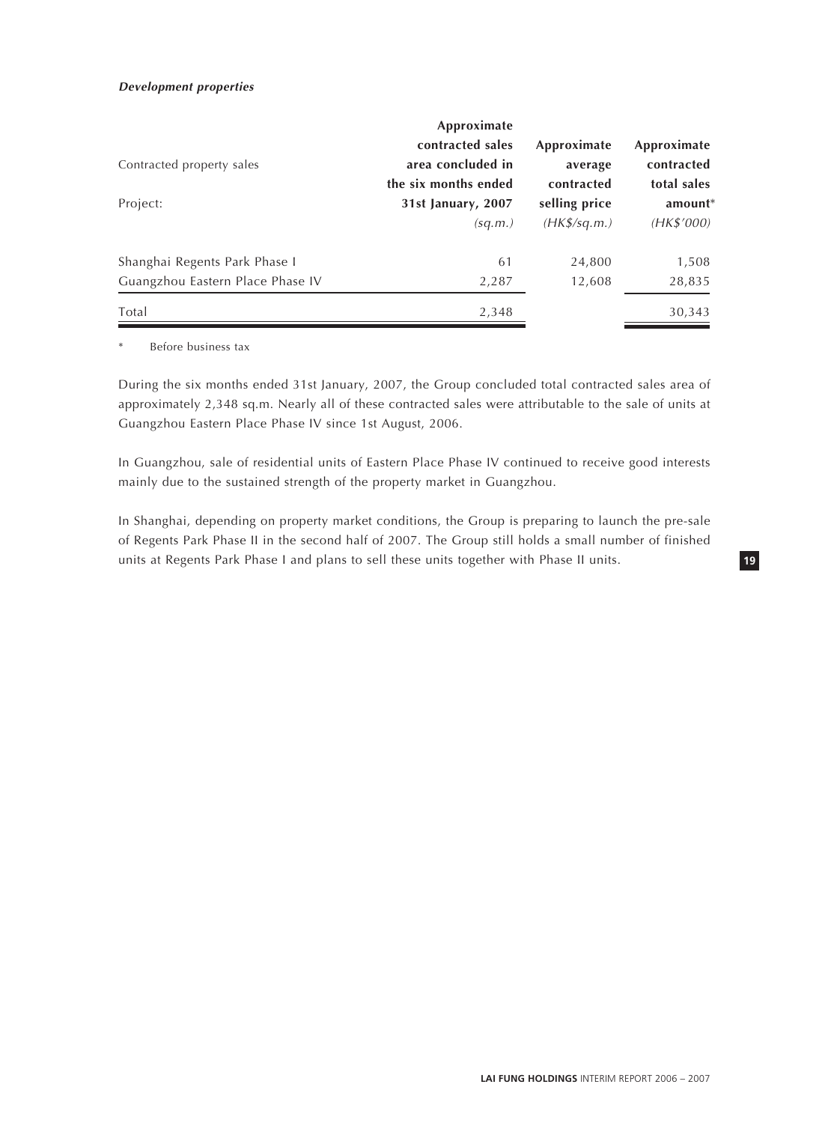### **Development properties**

| Contracted property sales                 | Approximate<br>contracted sales<br>area concluded in<br>the six months ended | Approximate<br>average<br>contracted | Approximate<br>contracted<br>total sales |
|-------------------------------------------|------------------------------------------------------------------------------|--------------------------------------|------------------------------------------|
| Project:                                  | 31st January, 2007<br>(sq.m.)                                                | selling price<br>$(HK\$/sq.m.)$      | $amount*$<br>(HK\$'000)                  |
|                                           | 61                                                                           | 24,800                               | 1,508                                    |
| Shanghai Regents Park Phase I             |                                                                              |                                      |                                          |
| Guangzhou Eastern Place Phase IV<br>Total | 2,287<br>2,348                                                               | 12,608                               | 28,835<br>30,343                         |

\* Before business tax

During the six months ended 31st January, 2007, the Group concluded total contracted sales area of approximately 2,348 sq.m. Nearly all of these contracted sales were attributable to the sale of units at Guangzhou Eastern Place Phase IV since 1st August, 2006.

In Guangzhou, sale of residential units of Eastern Place Phase IV continued to receive good interests mainly due to the sustained strength of the property market in Guangzhou.

In Shanghai, depending on property market conditions, the Group is preparing to launch the pre-sale of Regents Park Phase II in the second half of 2007. The Group still holds a small number of finished units at Regents Park Phase I and plans to sell these units together with Phase II units.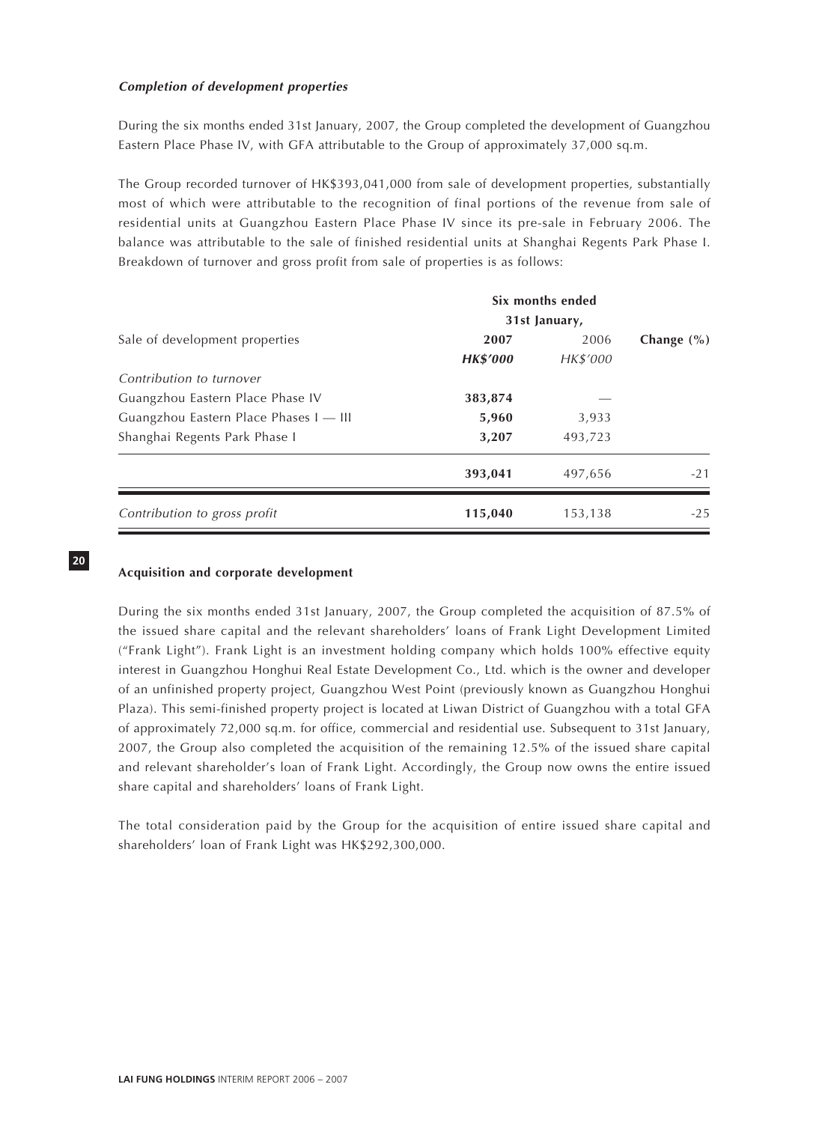## **Completion of development properties**

During the six months ended 31st January, 2007, the Group completed the development of Guangzhou Eastern Place Phase IV, with GFA attributable to the Group of approximately 37,000 sq.m.

The Group recorded turnover of HK\$393,041,000 from sale of development properties, substantially most of which were attributable to the recognition of final portions of the revenue from sale of residential units at Guangzhou Eastern Place Phase IV since its pre-sale in February 2006. The balance was attributable to the sale of finished residential units at Shanghai Regents Park Phase I. Breakdown of turnover and gross profit from sale of properties is as follows:

| 2007            | 2006     | Change $(\% )$                    |
|-----------------|----------|-----------------------------------|
| <b>HK\$'000</b> | HK\$'000 |                                   |
|                 |          |                                   |
| 383,874         |          |                                   |
| 5,960           | 3,933    |                                   |
| 3,207           | 493,723  |                                   |
| 393,041         | 497,656  | $-21$                             |
| 115,040         | 153,138  | $-25$                             |
|                 |          | Six months ended<br>31st January, |

**20**

# **Acquisition and corporate development**

During the six months ended 31st January, 2007, the Group completed the acquisition of 87.5% of the issued share capital and the relevant shareholders' loans of Frank Light Development Limited ("Frank Light"). Frank Light is an investment holding company which holds 100% effective equity interest in Guangzhou Honghui Real Estate Development Co., Ltd. which is the owner and developer of an unfinished property project, Guangzhou West Point (previously known as Guangzhou Honghui Plaza). This semi-finished property project is located at Liwan District of Guangzhou with a total GFA of approximately 72,000 sq.m. for office, commercial and residential use. Subsequent to 31st January, 2007, the Group also completed the acquisition of the remaining 12.5% of the issued share capital and relevant shareholder's loan of Frank Light. Accordingly, the Group now owns the entire issued share capital and shareholders' loans of Frank Light.

The total consideration paid by the Group for the acquisition of entire issued share capital and shareholders' loan of Frank Light was HK\$292,300,000.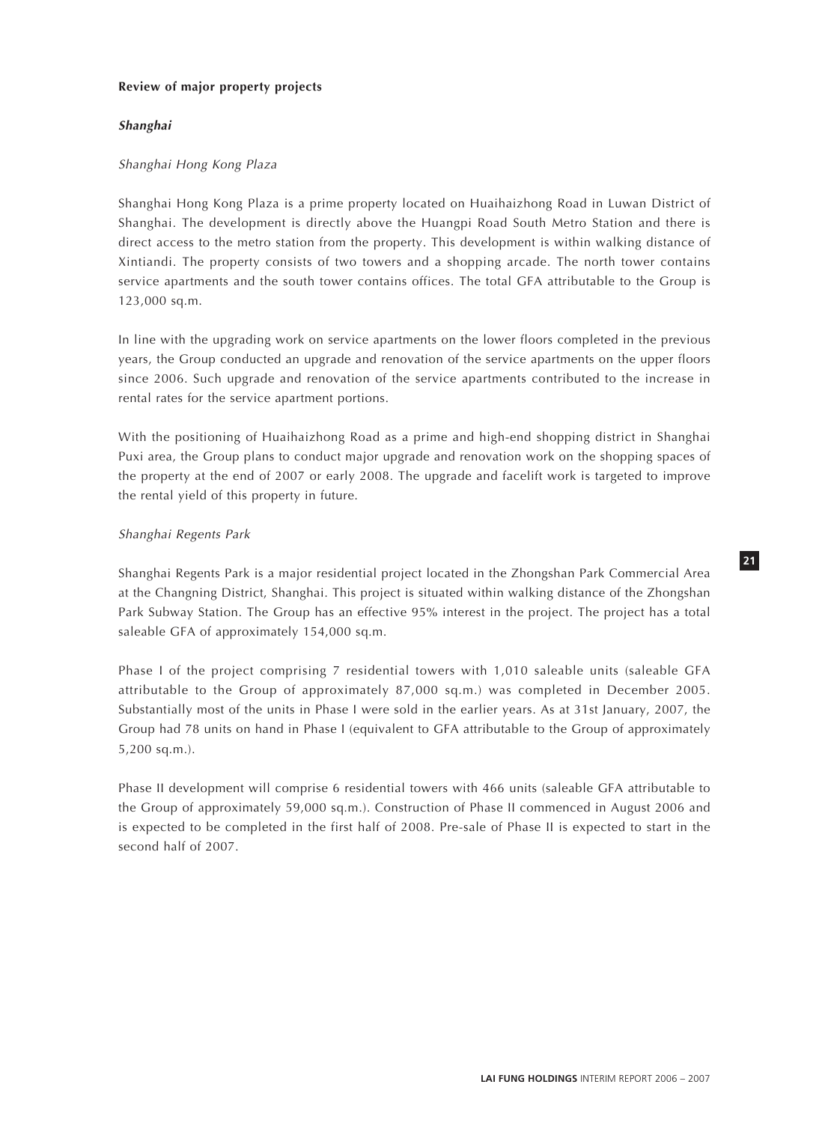## **Review of major property projects**

## **Shanghai**

## Shanghai Hong Kong Plaza

Shanghai Hong Kong Plaza is a prime property located on Huaihaizhong Road in Luwan District of Shanghai. The development is directly above the Huangpi Road South Metro Station and there is direct access to the metro station from the property. This development is within walking distance of Xintiandi. The property consists of two towers and a shopping arcade. The north tower contains service apartments and the south tower contains offices. The total GFA attributable to the Group is 123,000 sq.m.

In line with the upgrading work on service apartments on the lower floors completed in the previous years, the Group conducted an upgrade and renovation of the service apartments on the upper floors since 2006. Such upgrade and renovation of the service apartments contributed to the increase in rental rates for the service apartment portions.

With the positioning of Huaihaizhong Road as a prime and high-end shopping district in Shanghai Puxi area, the Group plans to conduct major upgrade and renovation work on the shopping spaces of the property at the end of 2007 or early 2008. The upgrade and facelift work is targeted to improve the rental yield of this property in future.

## Shanghai Regents Park

Shanghai Regents Park is a major residential project located in the Zhongshan Park Commercial Area at the Changning District, Shanghai. This project is situated within walking distance of the Zhongshan Park Subway Station. The Group has an effective 95% interest in the project. The project has a total saleable GFA of approximately 154,000 sq.m.

Phase I of the project comprising 7 residential towers with 1,010 saleable units (saleable GFA attributable to the Group of approximately 87,000 sq.m.) was completed in December 2005. Substantially most of the units in Phase I were sold in the earlier years. As at 31st January, 2007, the Group had 78 units on hand in Phase I (equivalent to GFA attributable to the Group of approximately 5,200 sq.m.).

Phase II development will comprise 6 residential towers with 466 units (saleable GFA attributable to the Group of approximately 59,000 sq.m.). Construction of Phase II commenced in August 2006 and is expected to be completed in the first half of 2008. Pre-sale of Phase II is expected to start in the second half of 2007.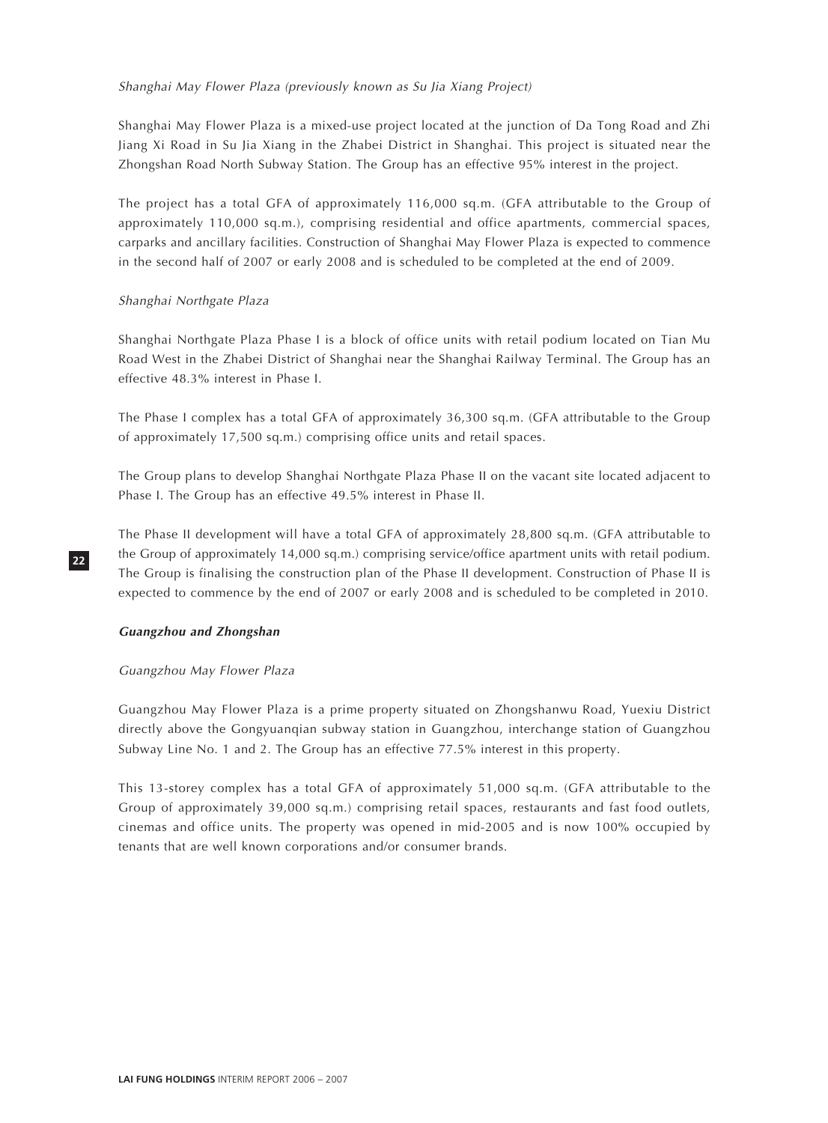## Shanghai May Flower Plaza (previously known as Su Jia Xiang Project)

Shanghai May Flower Plaza is a mixed-use project located at the junction of Da Tong Road and Zhi Jiang Xi Road in Su Jia Xiang in the Zhabei District in Shanghai. This project is situated near the Zhongshan Road North Subway Station. The Group has an effective 95% interest in the project.

The project has a total GFA of approximately 116,000 sq.m. (GFA attributable to the Group of approximately 110,000 sq.m.), comprising residential and office apartments, commercial spaces, carparks and ancillary facilities. Construction of Shanghai May Flower Plaza is expected to commence in the second half of 2007 or early 2008 and is scheduled to be completed at the end of 2009.

### Shanghai Northgate Plaza

Shanghai Northgate Plaza Phase I is a block of office units with retail podium located on Tian Mu Road West in the Zhabei District of Shanghai near the Shanghai Railway Terminal. The Group has an effective 48.3% interest in Phase I.

The Phase I complex has a total GFA of approximately 36,300 sq.m. (GFA attributable to the Group of approximately 17,500 sq.m.) comprising office units and retail spaces.

The Group plans to develop Shanghai Northgate Plaza Phase II on the vacant site located adjacent to Phase I. The Group has an effective 49.5% interest in Phase II.

The Phase II development will have a total GFA of approximately 28,800 sq.m. (GFA attributable to the Group of approximately 14,000 sq.m.) comprising service/office apartment units with retail podium. The Group is finalising the construction plan of the Phase II development. Construction of Phase II is expected to commence by the end of 2007 or early 2008 and is scheduled to be completed in 2010.

#### **Guangzhou and Zhongshan**

#### Guangzhou May Flower Plaza

Guangzhou May Flower Plaza is a prime property situated on Zhongshanwu Road, Yuexiu District directly above the Gongyuanqian subway station in Guangzhou, interchange station of Guangzhou Subway Line No. 1 and 2. The Group has an effective 77.5% interest in this property.

This 13-storey complex has a total GFA of approximately 51,000 sq.m. (GFA attributable to the Group of approximately 39,000 sq.m.) comprising retail spaces, restaurants and fast food outlets, cinemas and office units. The property was opened in mid-2005 and is now 100% occupied by tenants that are well known corporations and/or consumer brands.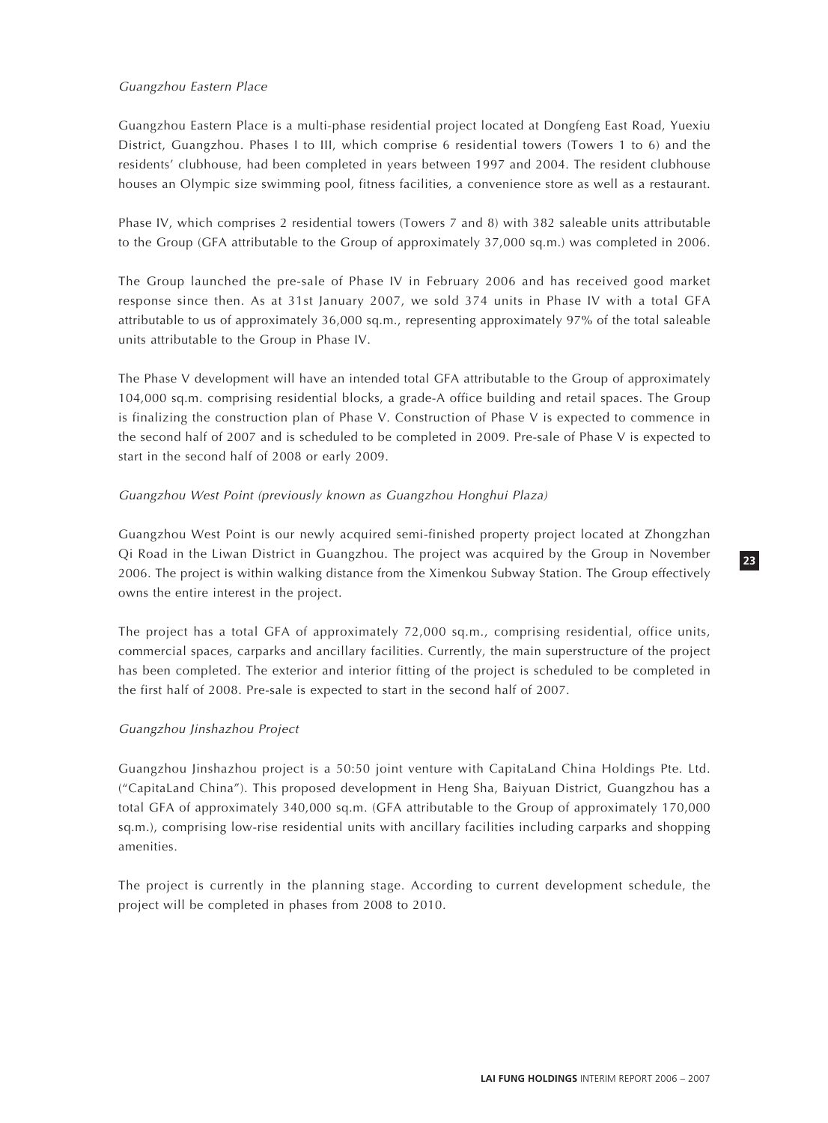## Guangzhou Eastern Place

Guangzhou Eastern Place is a multi-phase residential project located at Dongfeng East Road, Yuexiu District, Guangzhou. Phases I to III, which comprise 6 residential towers (Towers 1 to 6) and the residents' clubhouse, had been completed in years between 1997 and 2004. The resident clubhouse houses an Olympic size swimming pool, fitness facilities, a convenience store as well as a restaurant.

Phase IV, which comprises 2 residential towers (Towers 7 and 8) with 382 saleable units attributable to the Group (GFA attributable to the Group of approximately 37,000 sq.m.) was completed in 2006.

The Group launched the pre-sale of Phase IV in February 2006 and has received good market response since then. As at 31st January 2007, we sold 374 units in Phase IV with a total GFA attributable to us of approximately 36,000 sq.m., representing approximately 97% of the total saleable units attributable to the Group in Phase IV.

The Phase V development will have an intended total GFA attributable to the Group of approximately 104,000 sq.m. comprising residential blocks, a grade-A office building and retail spaces. The Group is finalizing the construction plan of Phase V. Construction of Phase V is expected to commence in the second half of 2007 and is scheduled to be completed in 2009. Pre-sale of Phase V is expected to start in the second half of 2008 or early 2009.

## Guangzhou West Point (previously known as Guangzhou Honghui Plaza)

Guangzhou West Point is our newly acquired semi-finished property project located at Zhongzhan Qi Road in the Liwan District in Guangzhou. The project was acquired by the Group in November 2006. The project is within walking distance from the Ximenkou Subway Station. The Group effectively owns the entire interest in the project.

The project has a total GFA of approximately 72,000 sq.m., comprising residential, office units, commercial spaces, carparks and ancillary facilities. Currently, the main superstructure of the project has been completed. The exterior and interior fitting of the project is scheduled to be completed in the first half of 2008. Pre-sale is expected to start in the second half of 2007.

## Guangzhou Jinshazhou Project

Guangzhou Jinshazhou project is a 50:50 joint venture with CapitaLand China Holdings Pte. Ltd. ("CapitaLand China"). This proposed development in Heng Sha, Baiyuan District, Guangzhou has a total GFA of approximately 340,000 sq.m. (GFA attributable to the Group of approximately 170,000 sq.m.), comprising low-rise residential units with ancillary facilities including carparks and shopping amenities.

The project is currently in the planning stage. According to current development schedule, the project will be completed in phases from 2008 to 2010.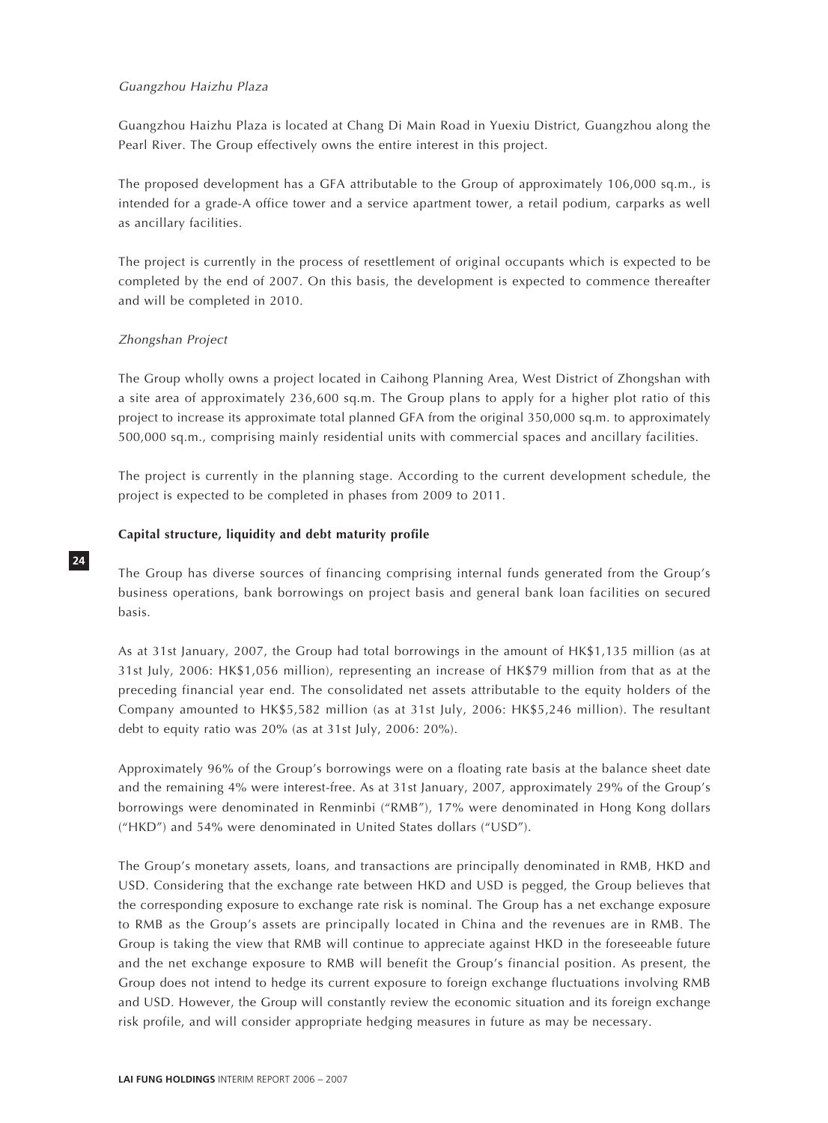## Guangzhou Haizhu Plaza

Guangzhou Haizhu Plaza is located at Chang Di Main Road in Yuexiu District, Guangzhou along the Pearl River. The Group effectively owns the entire interest in this project.

The proposed development has a GFA attributable to the Group of approximately 106,000 sq.m., is intended for a grade-A office tower and a service apartment tower, a retail podium, carparks as well as ancillary facilities.

The project is currently in the process of resettlement of original occupants which is expected to be completed by the end of 2007. On this basis, the development is expected to commence thereafter and will be completed in 2010.

## Zhongshan Project

**24**

The Group wholly owns a project located in Caihong Planning Area, West District of Zhongshan with a site area of approximately 236,600 sq.m. The Group plans to apply for a higher plot ratio of this project to increase its approximate total planned GFA from the original 350,000 sq.m. to approximately 500,000 sq.m., comprising mainly residential units with commercial spaces and ancillary facilities.

The project is currently in the planning stage. According to the current development schedule, the project is expected to be completed in phases from 2009 to 2011.

## **Capital structure, liquidity and debt maturity profile**

The Group has diverse sources of financing comprising internal funds generated from the Group's business operations, bank borrowings on project basis and general bank loan facilities on secured basis.

As at 31st January, 2007, the Group had total borrowings in the amount of HK\$1,135 million (as at 31st July, 2006: HK\$1,056 million), representing an increase of HK\$79 million from that as at the preceding financial year end. The consolidated net assets attributable to the equity holders of the Company amounted to HK\$5,582 million (as at 31st July, 2006: HK\$5,246 million). The resultant debt to equity ratio was 20% (as at 31st July, 2006: 20%).

Approximately 96% of the Group's borrowings were on a floating rate basis at the balance sheet date and the remaining 4% were interest-free. As at 31st January, 2007, approximately 29% of the Group's borrowings were denominated in Renminbi ("RMB"), 17% were denominated in Hong Kong dollars ("HKD") and 54% were denominated in United States dollars ("USD").

The Group's monetary assets, loans, and transactions are principally denominated in RMB, HKD and USD. Considering that the exchange rate between HKD and USD is pegged, the Group believes that the corresponding exposure to exchange rate risk is nominal. The Group has a net exchange exposure to RMB as the Group's assets are principally located in China and the revenues are in RMB. The Group is taking the view that RMB will continue to appreciate against HKD in the foreseeable future and the net exchange exposure to RMB will benefit the Group's financial position. As present, the Group does not intend to hedge its current exposure to foreign exchange fluctuations involving RMB and USD. However, the Group will constantly review the economic situation and its foreign exchange risk profile, and will consider appropriate hedging measures in future as may be necessary.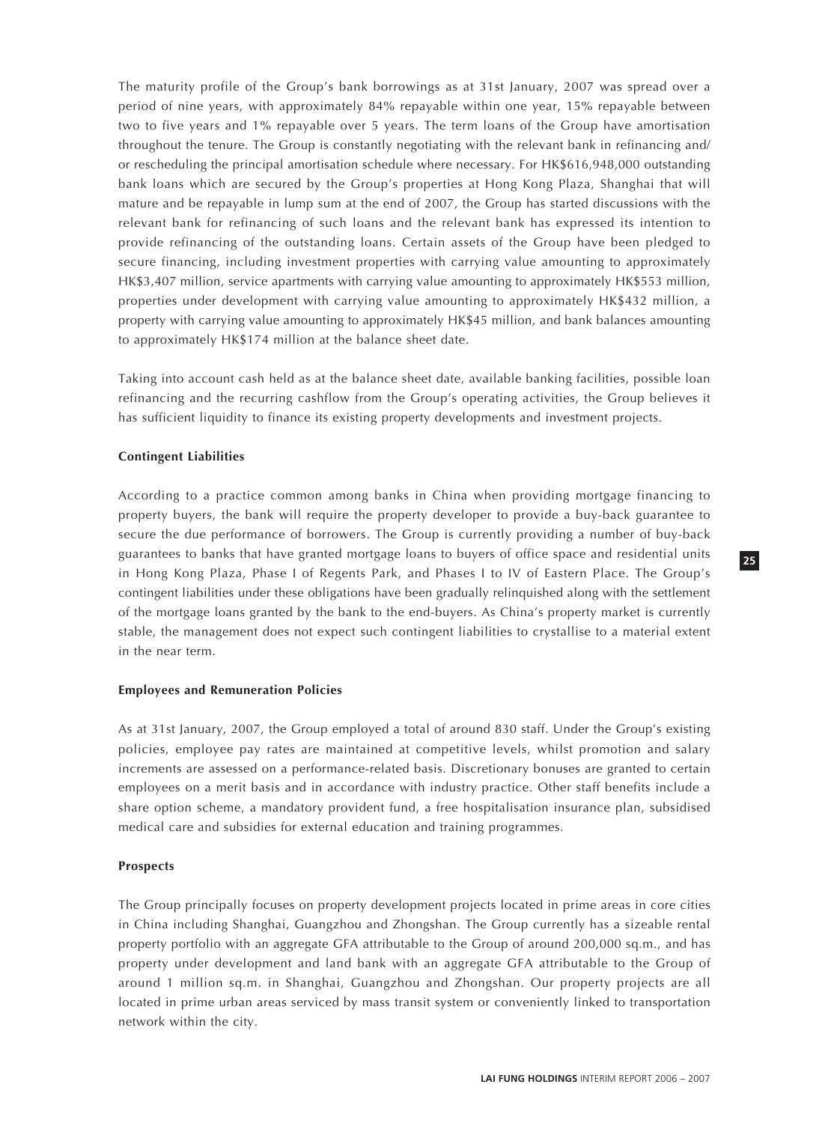The maturity profile of the Group's bank borrowings as at 31st January, 2007 was spread over a period of nine years, with approximately 84% repayable within one year, 15% repayable between two to five years and 1% repayable over 5 years. The term loans of the Group have amortisation throughout the tenure. The Group is constantly negotiating with the relevant bank in refinancing and/ or rescheduling the principal amortisation schedule where necessary. For HK\$616,948,000 outstanding bank loans which are secured by the Group's properties at Hong Kong Plaza, Shanghai that will mature and be repayable in lump sum at the end of 2007, the Group has started discussions with the relevant bank for refinancing of such loans and the relevant bank has expressed its intention to provide refinancing of the outstanding loans. Certain assets of the Group have been pledged to secure financing, including investment properties with carrying value amounting to approximately HK\$3,407 million, service apartments with carrying value amounting to approximately HK\$553 million, properties under development with carrying value amounting to approximately HK\$432 million, a property with carrying value amounting to approximately HK\$45 million, and bank balances amounting to approximately HK\$174 million at the balance sheet date.

Taking into account cash held as at the balance sheet date, available banking facilities, possible loan refinancing and the recurring cashflow from the Group's operating activities, the Group believes it has sufficient liquidity to finance its existing property developments and investment projects.

## **Contingent Liabilities**

According to a practice common among banks in China when providing mortgage financing to property buyers, the bank will require the property developer to provide a buy-back guarantee to secure the due performance of borrowers. The Group is currently providing a number of buy-back guarantees to banks that have granted mortgage loans to buyers of office space and residential units in Hong Kong Plaza, Phase I of Regents Park, and Phases I to IV of Eastern Place. The Group's contingent liabilities under these obligations have been gradually relinquished along with the settlement of the mortgage loans granted by the bank to the end-buyers. As China's property market is currently stable, the management does not expect such contingent liabilities to crystallise to a material extent in the near term.

#### **Employees and Remuneration Policies**

As at 31st January, 2007, the Group employed a total of around 830 staff. Under the Group's existing policies, employee pay rates are maintained at competitive levels, whilst promotion and salary increments are assessed on a performance-related basis. Discretionary bonuses are granted to certain employees on a merit basis and in accordance with industry practice. Other staff benefits include a share option scheme, a mandatory provident fund, a free hospitalisation insurance plan, subsidised medical care and subsidies for external education and training programmes.

#### **Prospects**

The Group principally focuses on property development projects located in prime areas in core cities in China including Shanghai, Guangzhou and Zhongshan. The Group currently has a sizeable rental property portfolio with an aggregate GFA attributable to the Group of around 200,000 sq.m., and has property under development and land bank with an aggregate GFA attributable to the Group of around 1 million sq.m. in Shanghai, Guangzhou and Zhongshan. Our property projects are all located in prime urban areas serviced by mass transit system or conveniently linked to transportation network within the city.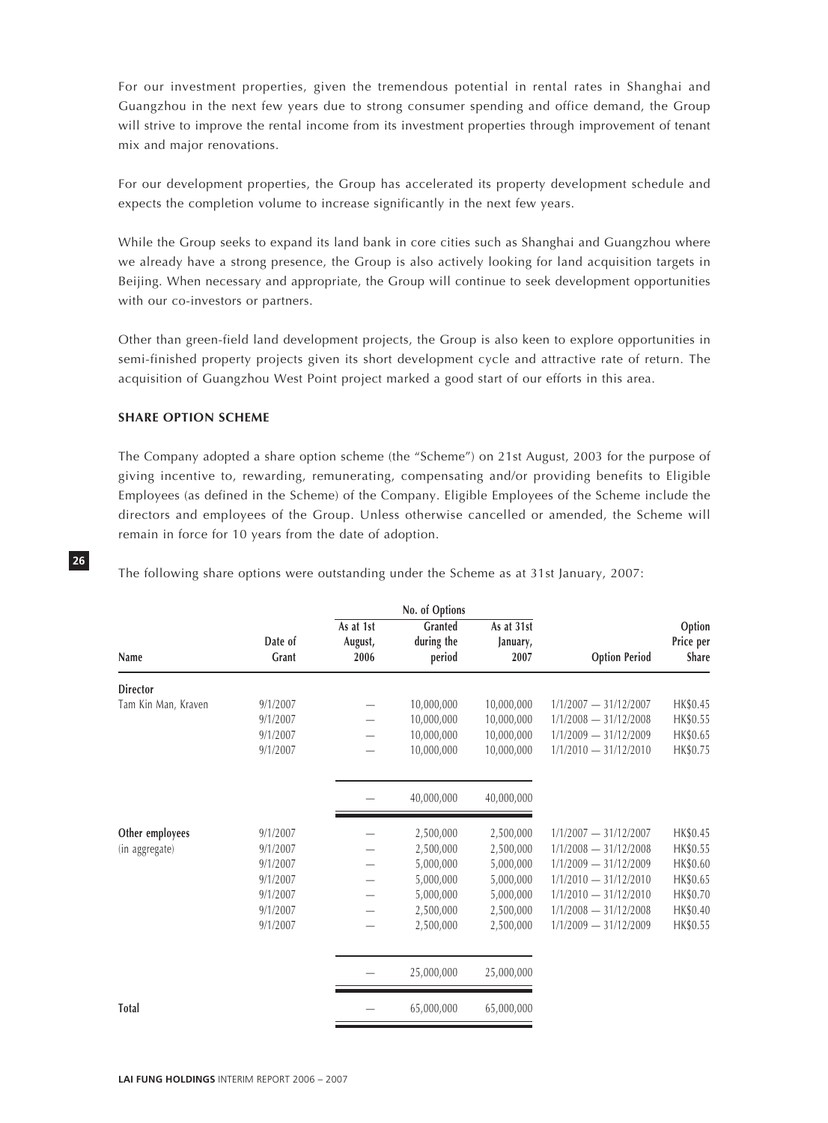For our investment properties, given the tremendous potential in rental rates in Shanghai and Guangzhou in the next few years due to strong consumer spending and office demand, the Group will strive to improve the rental income from its investment properties through improvement of tenant mix and major renovations.

For our development properties, the Group has accelerated its property development schedule and expects the completion volume to increase significantly in the next few years.

While the Group seeks to expand its land bank in core cities such as Shanghai and Guangzhou where we already have a strong presence, the Group is also actively looking for land acquisition targets in Beijing. When necessary and appropriate, the Group will continue to seek development opportunities with our co-investors or partners.

Other than green-field land development projects, the Group is also keen to explore opportunities in semi-finished property projects given its short development cycle and attractive rate of return. The acquisition of Guangzhou West Point project marked a good start of our efforts in this area.

## **SHARE OPTION SCHEME**

**26**

The Company adopted a share option scheme (the "Scheme") on 21st August, 2003 for the purpose of giving incentive to, rewarding, remunerating, compensating and/or providing benefits to Eligible Employees (as defined in the Scheme) of the Company. Eligible Employees of the Scheme include the directors and employees of the Group. Unless otherwise cancelled or amended, the Scheme will remain in force for 10 years from the date of adoption.

|                                   |                                                                                  |                              | No. of Options                                                                          |                                                                                         |                                                                                                                                                                                           |                                                                                  |
|-----------------------------------|----------------------------------------------------------------------------------|------------------------------|-----------------------------------------------------------------------------------------|-----------------------------------------------------------------------------------------|-------------------------------------------------------------------------------------------------------------------------------------------------------------------------------------------|----------------------------------------------------------------------------------|
| Name                              | Date of<br>Grant                                                                 | As at 1st<br>August,<br>2006 | Granted<br>during the<br>period                                                         | As at 31st<br>January,<br>2007                                                          | <b>Option Period</b>                                                                                                                                                                      | Option<br>Price per<br><b>Share</b>                                              |
| <b>Director</b>                   |                                                                                  |                              |                                                                                         |                                                                                         |                                                                                                                                                                                           |                                                                                  |
| Tam Kin Man, Kraven               | 9/1/2007<br>9/1/2007<br>9/1/2007<br>9/1/2007                                     |                              | 10,000,000<br>10,000,000<br>10,000,000<br>10,000,000                                    | 10,000,000<br>10,000,000<br>10,000,000<br>10,000,000                                    | $1/1/2007 - 31/12/2007$<br>$1/1/2008 - 31/12/2008$<br>$1/1/2009 - 31/12/2009$<br>$1/1/2010 - 31/12/2010$                                                                                  | HK\$0.45<br>HK\$0.55<br>HK\$0.65<br>HK\$0.75                                     |
|                                   |                                                                                  |                              | 40,000,000                                                                              | 40,000,000                                                                              |                                                                                                                                                                                           |                                                                                  |
| Other employees<br>(in aggregate) | 9/1/2007<br>9/1/2007<br>9/1/2007<br>9/1/2007<br>9/1/2007<br>9/1/2007<br>9/1/2007 |                              | 2,500,000<br>2,500,000<br>5,000,000<br>5,000,000<br>5,000,000<br>2,500,000<br>2,500,000 | 2,500,000<br>2,500,000<br>5,000,000<br>5,000,000<br>5,000,000<br>2,500,000<br>2,500,000 | $1/1/2007 - 31/12/2007$<br>$1/1/2008 - 31/12/2008$<br>$1/1/2009 - 31/12/2009$<br>$1/1/2010 - 31/12/2010$<br>$1/1/2010 - 31/12/2010$<br>$1/1/2008 - 31/12/2008$<br>$1/1/2009 - 31/12/2009$ | HK\$0.45<br>HK\$0.55<br>HK\$0.60<br>HK\$0.65<br>HK\$0.70<br>HK\$0.40<br>HK\$0.55 |
|                                   |                                                                                  |                              | 25,000,000                                                                              | 25,000,000                                                                              |                                                                                                                                                                                           |                                                                                  |
| <b>Total</b>                      |                                                                                  |                              | 65,000,000                                                                              | 65,000,000                                                                              |                                                                                                                                                                                           |                                                                                  |

The following share options were outstanding under the Scheme as at 31st January, 2007: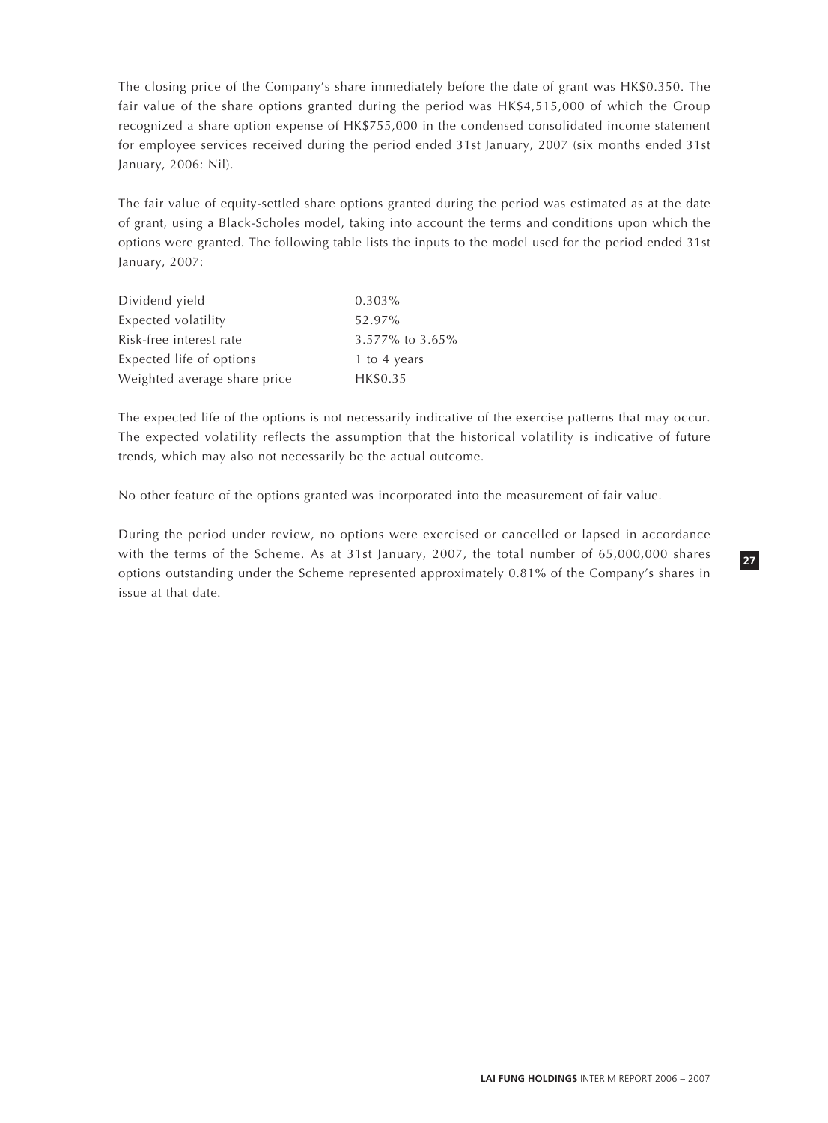The closing price of the Company's share immediately before the date of grant was HK\$0.350. The fair value of the share options granted during the period was HK\$4,515,000 of which the Group recognized a share option expense of HK\$755,000 in the condensed consolidated income statement for employee services received during the period ended 31st January, 2007 (six months ended 31st January, 2006: Nil).

The fair value of equity-settled share options granted during the period was estimated as at the date of grant, using a Black-Scholes model, taking into account the terms and conditions upon which the options were granted. The following table lists the inputs to the model used for the period ended 31st January, 2007:

| Dividend yield               | $0.303\%$       |
|------------------------------|-----------------|
| Expected volatility          | 52.97%          |
| Risk-free interest rate      | 3.577% to 3.65% |
| Expected life of options     | 1 to 4 years    |
| Weighted average share price | HK\$0.35        |

The expected life of the options is not necessarily indicative of the exercise patterns that may occur. The expected volatility reflects the assumption that the historical volatility is indicative of future trends, which may also not necessarily be the actual outcome.

No other feature of the options granted was incorporated into the measurement of fair value.

During the period under review, no options were exercised or cancelled or lapsed in accordance with the terms of the Scheme. As at 31st January, 2007, the total number of 65,000,000 shares options outstanding under the Scheme represented approximately 0.81% of the Company's shares in issue at that date.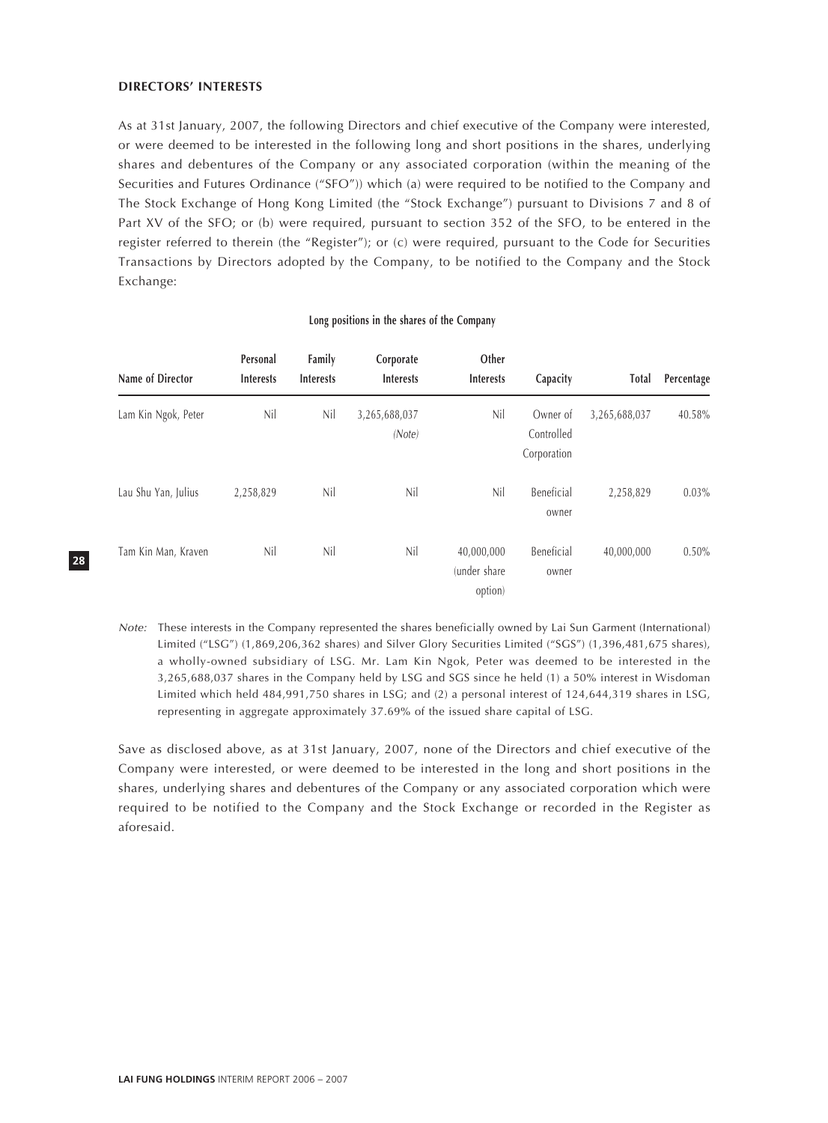## **DIRECTORS' INTERESTS**

As at 31st January, 2007, the following Directors and chief executive of the Company were interested, or were deemed to be interested in the following long and short positions in the shares, underlying shares and debentures of the Company or any associated corporation (within the meaning of the Securities and Futures Ordinance ("SFO")) which (a) were required to be notified to the Company and The Stock Exchange of Hong Kong Limited (the "Stock Exchange") pursuant to Divisions 7 and 8 of Part XV of the SFO; or (b) were required, pursuant to section 352 of the SFO, to be entered in the register referred to therein (the "Register"); or (c) were required, pursuant to the Code for Securities Transactions by Directors adopted by the Company, to be notified to the Company and the Stock Exchange:

| Name of Director    | Personal<br><b>Interests</b> | Family<br><b>Interests</b> | Corporate<br><b>Interests</b> | Other<br><b>Interests</b>              | Capacity                              | Total         | Percentage |
|---------------------|------------------------------|----------------------------|-------------------------------|----------------------------------------|---------------------------------------|---------------|------------|
| Lam Kin Ngok, Peter | Nil                          | Nil                        | 3,265,688,037<br>(Note)       | Nil                                    | Owner of<br>Controlled<br>Corporation | 3,265,688,037 | 40.58%     |
| Lau Shu Yan, Julius | 2,258,829                    | Nil                        | Nil                           | Nil                                    | Beneficial<br>owner                   | 2,258,829     | $0.03\%$   |
| Tam Kin Man, Kraven | Nil                          | Nil                        | Nil                           | 40,000,000<br>(under share)<br>option) | Beneficial<br>owner                   | 40,000,000    | $0.50\%$   |

#### **Long positions in the shares of the Company**

Note: These interests in the Company represented the shares beneficially owned by Lai Sun Garment (International) Limited ("LSG") (1,869,206,362 shares) and Silver Glory Securities Limited ("SGS") (1,396,481,675 shares), a wholly-owned subsidiary of LSG. Mr. Lam Kin Ngok, Peter was deemed to be interested in the 3,265,688,037 shares in the Company held by LSG and SGS since he held (1) a 50% interest in Wisdoman Limited which held 484,991,750 shares in LSG; and (2) a personal interest of 124,644,319 shares in LSG, representing in aggregate approximately 37.69% of the issued share capital of LSG.

Save as disclosed above, as at 31st January, 2007, none of the Directors and chief executive of the Company were interested, or were deemed to be interested in the long and short positions in the shares, underlying shares and debentures of the Company or any associated corporation which were required to be notified to the Company and the Stock Exchange or recorded in the Register as aforesaid.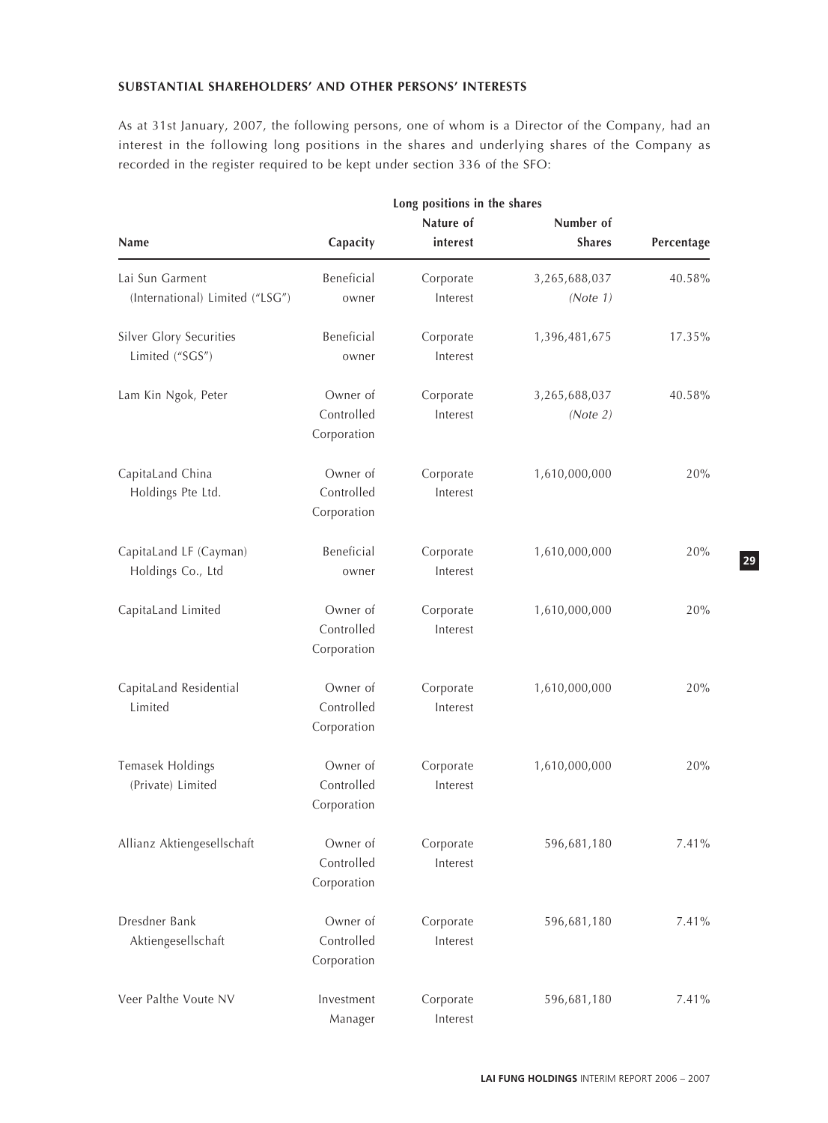## **SUBSTANTIAL SHAREHOLDERS' AND OTHER PERSONS' INTERESTS**

As at 31st January, 2007, the following persons, one of whom is a Director of the Company, had an interest in the following long positions in the shares and underlying shares of the Company as recorded in the register required to be kept under section 336 of the SFO:

|                                 | Long positions in the shares |           |               |            |
|---------------------------------|------------------------------|-----------|---------------|------------|
|                                 |                              | Nature of | Number of     |            |
| Name                            | Capacity                     | interest  | <b>Shares</b> | Percentage |
| Lai Sun Garment                 | Beneficial                   | Corporate | 3,265,688,037 | 40.58%     |
| (International) Limited ("LSG") | owner                        | Interest  | (Note 1)      |            |
| Silver Glory Securities         | Beneficial                   | Corporate | 1,396,481,675 | 17.35%     |
| Limited ("SGS")                 | owner                        | Interest  |               |            |
| Lam Kin Ngok, Peter             | Owner of                     | Corporate | 3,265,688,037 | 40.58%     |
|                                 | Controlled                   | Interest  | (Note 2)      |            |
|                                 | Corporation                  |           |               |            |
| CapitaLand China                | Owner of                     | Corporate | 1,610,000,000 | 20%        |
| Holdings Pte Ltd.               | Controlled                   | Interest  |               |            |
|                                 | Corporation                  |           |               |            |
| CapitaLand LF (Cayman)          | Beneficial                   | Corporate | 1,610,000,000 | 20%        |
| Holdings Co., Ltd               | owner                        | Interest  |               |            |
| CapitaLand Limited              | Owner of                     | Corporate | 1,610,000,000 | 20%        |
|                                 | Controlled                   | Interest  |               |            |
|                                 | Corporation                  |           |               |            |
| CapitaLand Residential          | Owner of                     | Corporate | 1,610,000,000 | 20%        |
| Limited                         | Controlled                   | Interest  |               |            |
|                                 | Corporation                  |           |               |            |
| Temasek Holdings                | Owner of                     | Corporate | 1,610,000,000 | 20%        |
| (Private) Limited               | Controlled                   | Interest  |               |            |
|                                 | Corporation                  |           |               |            |
| Allianz Aktiengesellschaft      | Owner of                     | Corporate | 596,681,180   | 7.41%      |
|                                 | Controlled                   | Interest  |               |            |
|                                 | Corporation                  |           |               |            |
| Dresdner Bank                   | Owner of                     | Corporate | 596,681,180   | 7.41%      |
| Aktiengesellschaft              | Controlled                   | Interest  |               |            |
|                                 | Corporation                  |           |               |            |
| Veer Palthe Voute NV            | Investment                   | Corporate | 596,681,180   | 7.41%      |
|                                 | Manager                      | Interest  |               |            |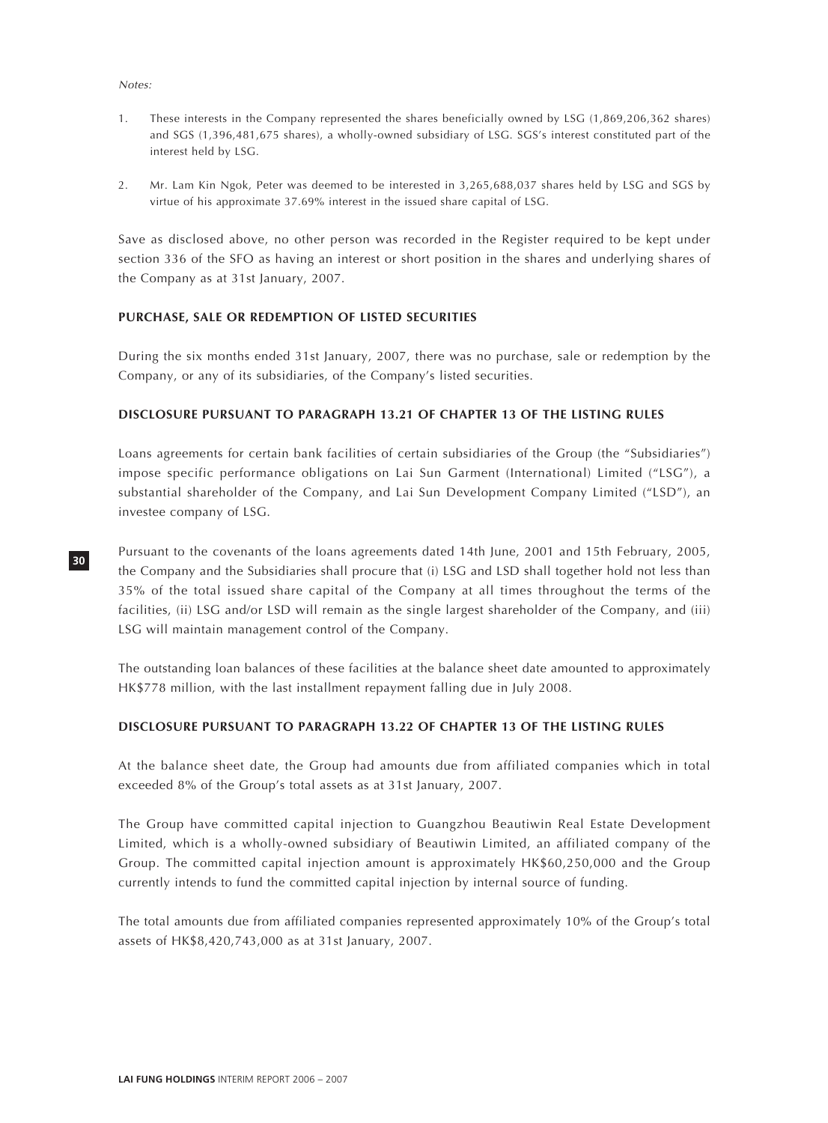#### Notes:

**30**

- 1. These interests in the Company represented the shares beneficially owned by LSG (1,869,206,362 shares) and SGS (1,396,481,675 shares), a wholly-owned subsidiary of LSG. SGS's interest constituted part of the interest held by LSG.
- 2. Mr. Lam Kin Ngok, Peter was deemed to be interested in 3,265,688,037 shares held by LSG and SGS by virtue of his approximate 37.69% interest in the issued share capital of LSG.

Save as disclosed above, no other person was recorded in the Register required to be kept under section 336 of the SFO as having an interest or short position in the shares and underlying shares of the Company as at 31st January, 2007.

## **PURCHASE, SALE OR REDEMPTION OF LISTED SECURITIES**

During the six months ended 31st January, 2007, there was no purchase, sale or redemption by the Company, or any of its subsidiaries, of the Company's listed securities.

## **DISCLOSURE PURSUANT TO PARAGRAPH 13.21 OF CHAPTER 13 OF THE LISTING RULES**

Loans agreements for certain bank facilities of certain subsidiaries of the Group (the "Subsidiaries") impose specific performance obligations on Lai Sun Garment (International) Limited ("LSG"), a substantial shareholder of the Company, and Lai Sun Development Company Limited ("LSD"), an investee company of LSG.

Pursuant to the covenants of the loans agreements dated 14th June, 2001 and 15th February, 2005, the Company and the Subsidiaries shall procure that (i) LSG and LSD shall together hold not less than 35% of the total issued share capital of the Company at all times throughout the terms of the facilities, (ii) LSG and/or LSD will remain as the single largest shareholder of the Company, and (iii) LSG will maintain management control of the Company.

The outstanding loan balances of these facilities at the balance sheet date amounted to approximately HK\$778 million, with the last installment repayment falling due in July 2008.

## **DISCLOSURE PURSUANT TO PARAGRAPH 13.22 OF CHAPTER 13 OF THE LISTING RULES**

At the balance sheet date, the Group had amounts due from affiliated companies which in total exceeded 8% of the Group's total assets as at 31st January, 2007.

The Group have committed capital injection to Guangzhou Beautiwin Real Estate Development Limited, which is a wholly-owned subsidiary of Beautiwin Limited, an affiliated company of the Group. The committed capital injection amount is approximately HK\$60,250,000 and the Group currently intends to fund the committed capital injection by internal source of funding.

The total amounts due from affiliated companies represented approximately 10% of the Group's total assets of HK\$8,420,743,000 as at 31st January, 2007.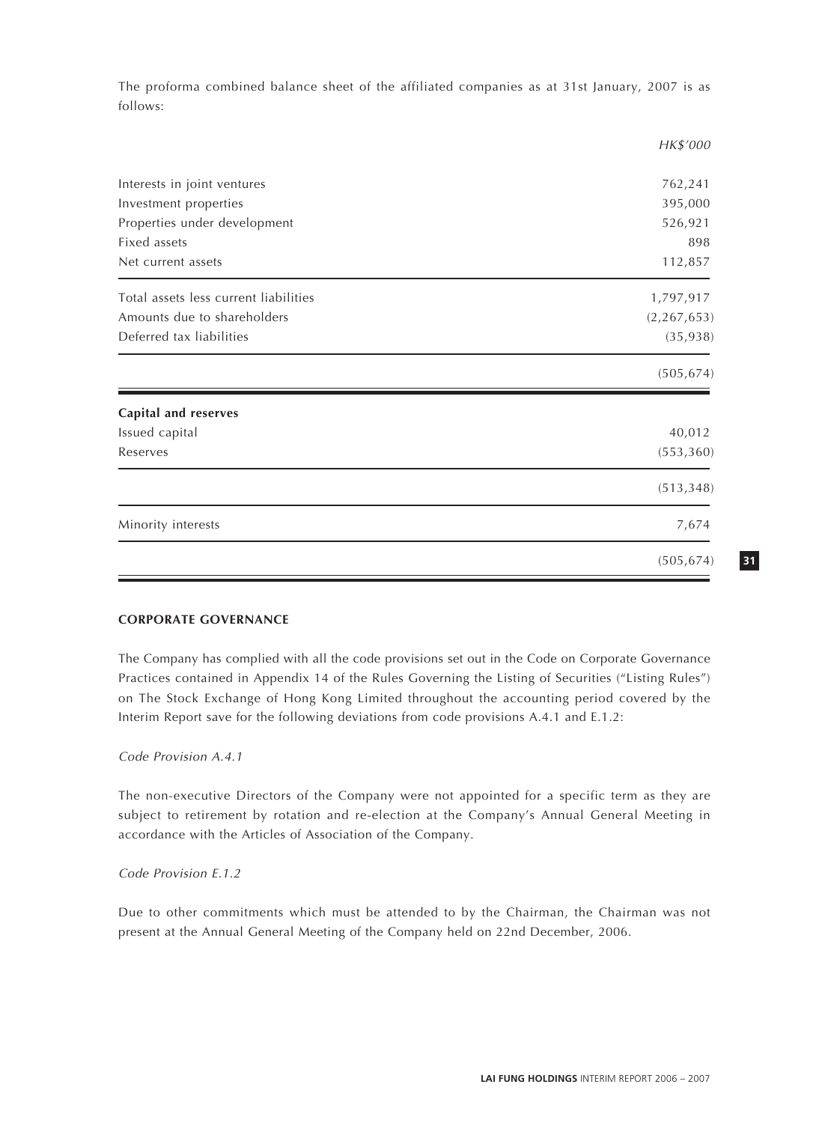The proforma combined balance sheet of the affiliated companies as at 31st January, 2007 is as follows:

|                                       | HK\$'000      |
|---------------------------------------|---------------|
|                                       |               |
| Interests in joint ventures           | 762,241       |
| Investment properties                 | 395,000       |
| Properties under development          | 526,921       |
| Fixed assets                          | 898           |
| Net current assets                    | 112,857       |
| Total assets less current liabilities | 1,797,917     |
| Amounts due to shareholders           | (2, 267, 653) |
| Deferred tax liabilities              | (35, 938)     |
|                                       | (505, 674)    |
| <b>Capital and reserves</b>           |               |
| Issued capital                        | 40,012        |
| Reserves                              | (553, 360)    |
|                                       | (513, 348)    |
| Minority interests                    | 7,674         |
|                                       | (505, 674)    |

## **CORPORATE GOVERNANCE**

The Company has complied with all the code provisions set out in the Code on Corporate Governance Practices contained in Appendix 14 of the Rules Governing the Listing of Securities ("Listing Rules") on The Stock Exchange of Hong Kong Limited throughout the accounting period covered by the Interim Report save for the following deviations from code provisions A.4.1 and E.1.2:

## Code Provision A.4.1

The non-executive Directors of the Company were not appointed for a specific term as they are subject to retirement by rotation and re-election at the Company's Annual General Meeting in accordance with the Articles of Association of the Company.

Code Provision E.1.2

Due to other commitments which must be attended to by the Chairman, the Chairman was not present at the Annual General Meeting of the Company held on 22nd December, 2006.